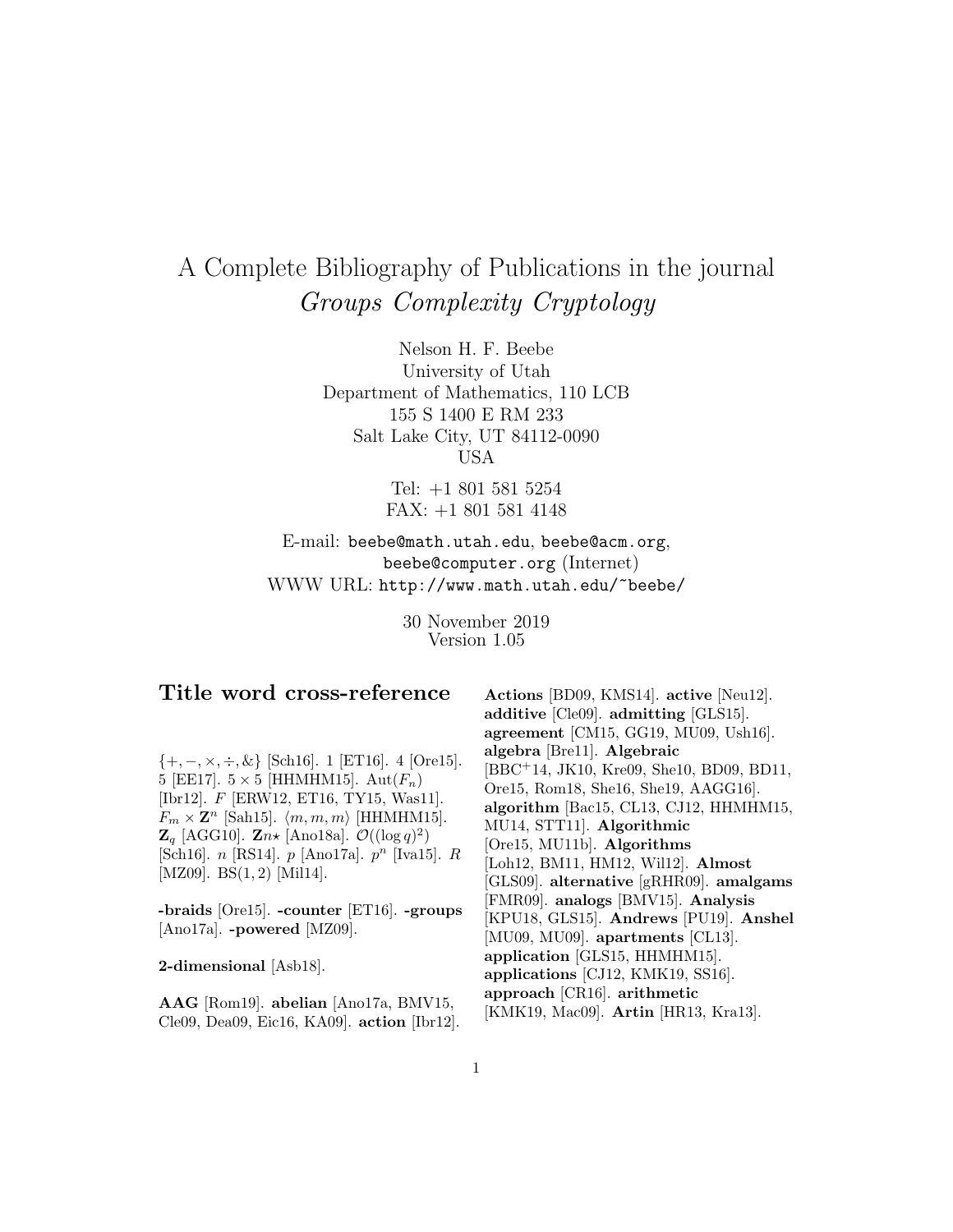# A Complete Bibliography of Publications in the journal Groups Complexity Cryptology

Nelson H. F. Beebe University of Utah Department of Mathematics, 110 LCB 155 S 1400 E RM 233 Salt Lake City, UT 84112-0090 USA

> Tel: +1 801 581 5254 FAX: +1 801 581 4148

E-mail: beebe@math.utah.edu, beebe@acm.org, beebe@computer.org (Internet) WWW URL: http://www.math.utah.edu/~beebe/

> 30 November 2019 Version 1.05

# **Title word cross-reference**

 $\{+, -, \times, \div, \&\}$  [Sch16]. 1 [ET16]. 4 [Ore15]. 5 [EE17].  $5 \times 5$  [HHMHM15].  $Aut(F_n)$ [Ibr12]. F [ERW12, ET16, TY15, Was11].  $F_m \times \mathbf{Z}^n$  [Sah15].  $\langle m, m, m \rangle$  [HHMHM15].  $\mathbf{Z}_q$  [AGG10].  $\mathbf{Z}_n \star$  [Ano18a].  $\mathcal{O}((\log q)^2)$ [Sch16]. *n* [RS14]. *p* [Ano17a].  $p^n$  [Iva15]. *R* [MZ09]. BS(1,2) [Mil14].

**-braids** [Ore15]. **-counter** [ET16]. **-groups** [Ano17a]. **-powered** [MZ09].

**2-dimensional** [Asb18].

**AAG** [Rom19]. **abelian** [Ano17a, BMV15, Cle09, Dea09, Eic16, KA09]. **action** [Ibr12].

**Actions** [BD09, KMS14]. **active** [Neu12]. **additive** [Cle09]. **admitting** [GLS15]. **agreement** [CM15, GG19, MU09, Ush16]. **algebra** [Bre11]. **Algebraic** [BBC<sup>+</sup>14, JK10, Kre09, She10, BD09, BD11, Ore15, Rom18, She16, She19, AAGG16]. **algorithm** [Bac15, CL13, CJ12, HHMHM15, MU14, STT11]. **Algorithmic** [Ore15, MU11b]. **Algorithms** [Loh12, BM11, HM12, Wil12]. **Almost** [GLS09]. **alternative** [gRHR09]. **amalgams** [FMR09]. **analogs** [BMV15]. **Analysis** [KPU18, GLS15]. **Andrews** [PU19]. **Anshel** [MU09, MU09]. **apartments** [CL13]. **application** [GLS15, HHMHM15]. **applications** [CJ12, KMK19, SS16]. **approach** [CR16]. **arithmetic** [KMK19, Mac09]. **Artin** [HR13, Kra13].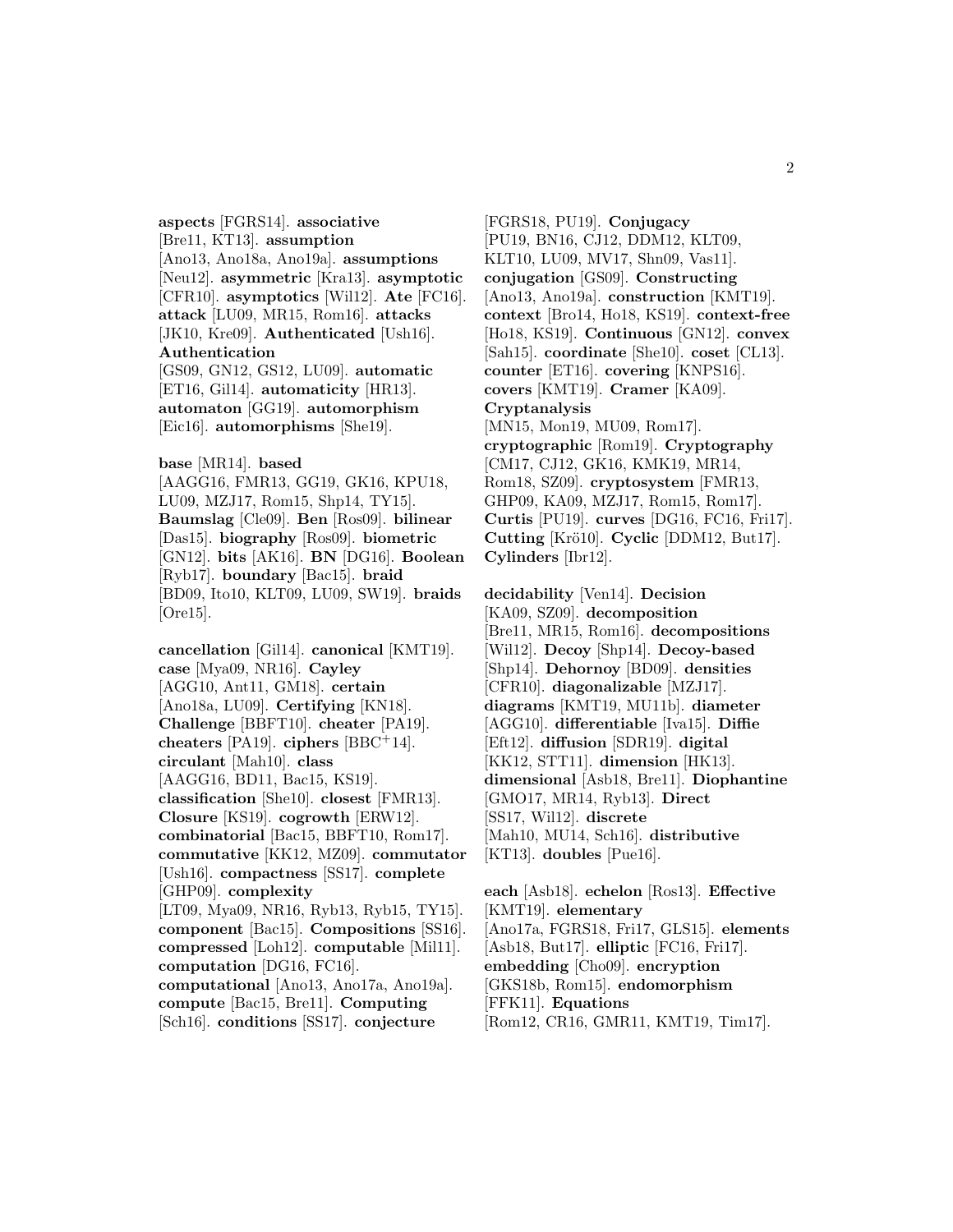**aspects** [FGRS14]. **associative** [Bre11, KT13]. **assumption** [Ano13, Ano18a, Ano19a]. **assumptions** [Neu12]. **asymmetric** [Kra13]. **asymptotic** [CFR10]. **asymptotics** [Wil12]. **Ate** [FC16]. **attack** [LU09, MR15, Rom16]. **attacks** [JK10, Kre09]. **Authenticated** [Ush16]. **Authentication** [GS09, GN12, GS12, LU09]. **automatic** [ET16, Gil14]. **automaticity** [HR13].

**automaton** [GG19]. **automorphism** [Eic16]. **automorphisms** [She19].

**base** [MR14]. **based**

[AAGG16, FMR13, GG19, GK16, KPU18, LU09, MZJ17, Rom15, Shp14, TY15]. **Baumslag** [Cle09]. **Ben** [Ros09]. **bilinear** [Das15]. **biography** [Ros09]. **biometric** [GN12]. **bits** [AK16]. **BN** [DG16]. **Boolean** [Ryb17]. **boundary** [Bac15]. **braid** [BD09, Ito10, KLT09, LU09, SW19]. **braids** [Ore15].

**cancellation** [Gil14]. **canonical** [KMT19]. **case** [Mya09, NR16]. **Cayley** [AGG10, Ant11, GM18]. **certain** [Ano18a, LU09]. **Certifying** [KN18]. **Challenge** [BBFT10]. **cheater** [PA19]. **cheaters** [PA19]. **ciphers** [BBC<sup>+</sup>14]. **circulant** [Mah10]. **class** [AAGG16, BD11, Bac15, KS19]. **classification** [She10]. **closest** [FMR13]. **Closure** [KS19]. **cogrowth** [ERW12]. **combinatorial** [Bac15, BBFT10, Rom17]. **commutative** [KK12, MZ09]. **commutator** [Ush16]. **compactness** [SS17]. **complete** [GHP09]. **complexity** [LT09, Mya09, NR16, Ryb13, Ryb15, TY15]. **component** [Bac15]. **Compositions** [SS16]. **compressed** [Loh12]. **computable** [Mil11]. **computation** [DG16, FC16]. **computational** [Ano13, Ano17a, Ano19a]. **compute** [Bac15, Bre11]. **Computing** [Sch16]. **conditions** [SS17]. **conjecture**

[FGRS18, PU19]. **Conjugacy** [PU19, BN16, CJ12, DDM12, KLT09, KLT10, LU09, MV17, Shn09, Vas11]. **conjugation** [GS09]. **Constructing** [Ano13, Ano19a]. **construction** [KMT19]. **context** [Bro14, Ho18, KS19]. **context-free** [Ho18, KS19]. **Continuous** [GN12]. **convex** [Sah15]. **coordinate** [She10]. **coset** [CL13]. **counter** [ET16]. **covering** [KNPS16]. **covers** [KMT19]. **Cramer** [KA09]. **Cryptanalysis** [MN15, Mon19, MU09, Rom17]. **cryptographic** [Rom19]. **Cryptography** [CM17, CJ12, GK16, KMK19, MR14, Rom18, SZ09]. **cryptosystem** [FMR13, GHP09, KA09, MZJ17, Rom15, Rom17]. **Curtis** [PU19]. **curves** [DG16, FC16, Fri17]. **Cutting** [Krö10]. **Cyclic** [DDM12, But17]. **Cylinders** [Ibr12].

**decidability** [Ven14]. **Decision** [KA09, SZ09]. **decomposition** [Bre11, MR15, Rom16]. **decompositions** [Wil12]. **Decoy** [Shp14]. **Decoy-based** [Shp14]. **Dehornoy** [BD09]. **densities** [CFR10]. **diagonalizable** [MZJ17]. **diagrams** [KMT19, MU11b]. **diameter** [AGG10]. **differentiable** [Iva15]. **Diffie** [Eft12]. **diffusion** [SDR19]. **digital** [KK12, STT11]. **dimension** [HK13]. **dimensional** [Asb18, Bre11]. **Diophantine** [GMO17, MR14, Ryb13]. **Direct** [SS17, Wil12]. **discrete** [Mah10, MU14, Sch16]. **distributive** [KT13]. **doubles** [Pue16].

**each** [Asb18]. **echelon** [Ros13]. **Effective** [KMT19]. **elementary** [Ano17a, FGRS18, Fri17, GLS15]. **elements** [Asb18, But17]. **elliptic** [FC16, Fri17]. **embedding** [Cho09]. **encryption** [GKS18b, Rom15]. **endomorphism** [FFK11]. **Equations** [Rom12, CR16, GMR11, KMT19, Tim17].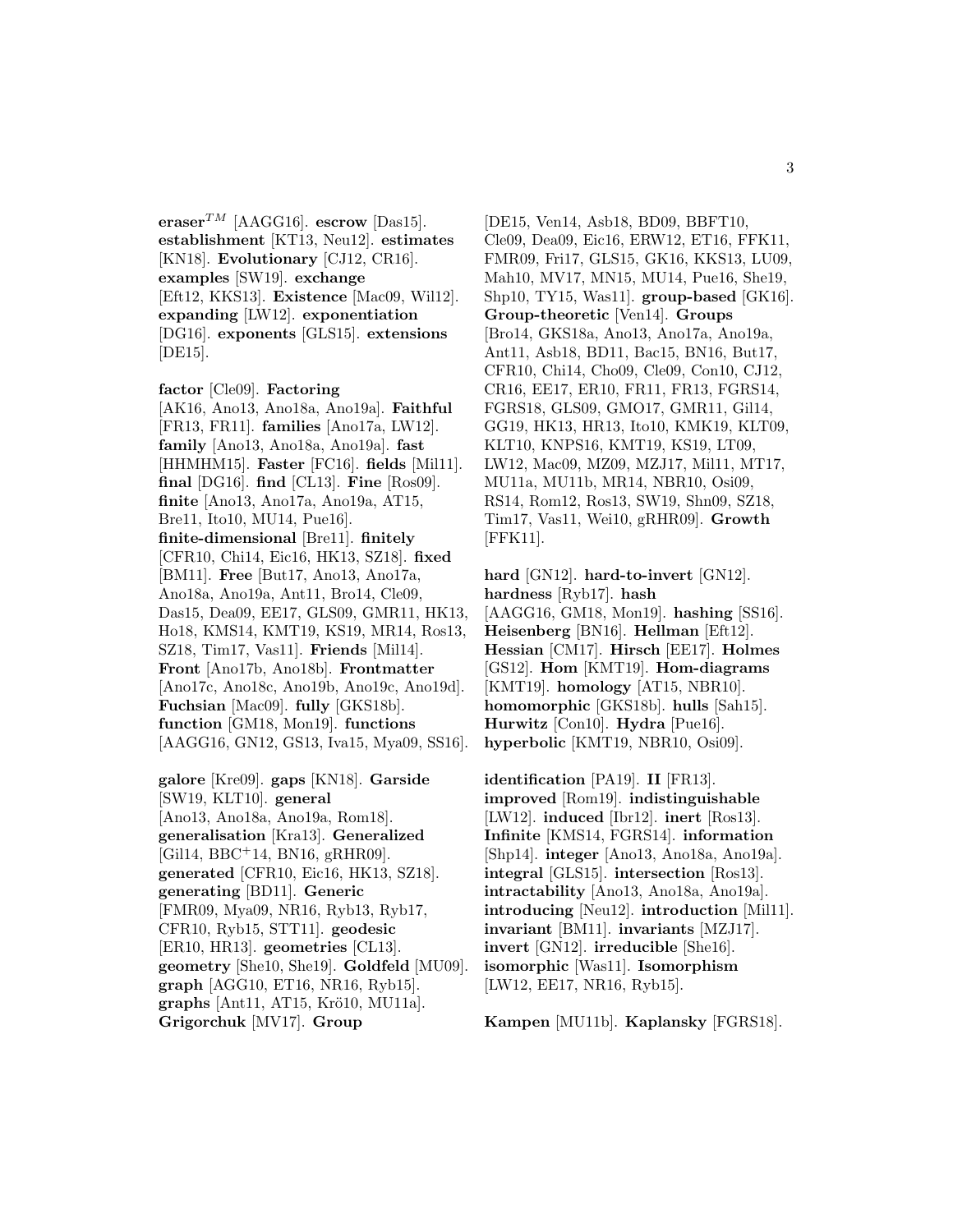**eraser**<sup>TM</sup> [AAGG16]. **escrow** [Das15]. **establishment** [KT13, Neu12]. **estimates** [KN18]. **Evolutionary** [CJ12, CR16]. **examples** [SW19]. **exchange** [Eft12, KKS13]. **Existence** [Mac09, Wil12]. **expanding** [LW12]. **exponentiation** [DG16]. **exponents** [GLS15]. **extensions** [DE15].

**factor** [Cle09]. **Factoring** [AK16, Ano13, Ano18a, Ano19a]. **Faithful** [FR13, FR11]. **families** [Ano17a, LW12]. **family** [Ano13, Ano18a, Ano19a]. **fast** [HHMHM15]. **Faster** [FC16]. **fields** [Mil11]. **final** [DG16]. **find** [CL13]. **Fine** [Ros09]. **finite** [Ano13, Ano17a, Ano19a, AT15, Bre11, Ito10, MU14, Pue16]. **finite-dimensional** [Bre11]. **finitely** [CFR10, Chi14, Eic16, HK13, SZ18]. **fixed** [BM11]. **Free** [But17, Ano13, Ano17a, Ano18a, Ano19a, Ant11, Bro14, Cle09, Das15, Dea09, EE17, GLS09, GMR11, HK13, Ho18, KMS14, KMT19, KS19, MR14, Ros13, SZ18, Tim17, Vas11]. **Friends** [Mil14]. **Front** [Ano17b, Ano18b]. **Frontmatter** [Ano17c, Ano18c, Ano19b, Ano19c, Ano19d]. **Fuchsian** [Mac09]. **fully** [GKS18b]. **function** [GM18, Mon19]. **functions** [AAGG16, GN12, GS13, Iva15, Mya09, SS16].

**galore** [Kre09]. **gaps** [KN18]. **Garside** [SW19, KLT10]. **general** [Ano13, Ano18a, Ano19a, Rom18]. **generalisation** [Kra13]. **Generalized** [Gil14, BBC<sup>+</sup>14, BN16, gRHR09]. **generated** [CFR10, Eic16, HK13, SZ18]. **generating** [BD11]. **Generic** [FMR09, Mya09, NR16, Ryb13, Ryb17, CFR10, Ryb15, STT11]. **geodesic** [ER10, HR13]. **geometries** [CL13]. **geometry** [She10, She19]. **Goldfeld** [MU09]. **graph** [AGG10, ET16, NR16, Ryb15]. **graphs** [Ant11, AT15, Krö10, MU11a]. **Grigorchuk** [MV17]. **Group**

[DE15, Ven14, Asb18, BD09, BBFT10, Cle09, Dea09, Eic16, ERW12, ET16, FFK11, FMR09, Fri17, GLS15, GK16, KKS13, LU09, Mah10, MV17, MN15, MU14, Pue16, She19, Shp10, TY15, Was11]. **group-based** [GK16]. **Group-theoretic** [Ven14]. **Groups** [Bro14, GKS18a, Ano13, Ano17a, Ano19a, Ant11, Asb18, BD11, Bac15, BN16, But17, CFR10, Chi14, Cho09, Cle09, Con10, CJ12, CR16, EE17, ER10, FR11, FR13, FGRS14, FGRS18, GLS09, GMO17, GMR11, Gil14, GG19, HK13, HR13, Ito10, KMK19, KLT09, KLT10, KNPS16, KMT19, KS19, LT09, LW12, Mac09, MZ09, MZJ17, Mil11, MT17, MU11a, MU11b, MR14, NBR10, Osi09, RS14, Rom12, Ros13, SW19, Shn09, SZ18, Tim17, Vas11, Wei10, gRHR09]. **Growth** [FFK11].

**hard** [GN12]. **hard-to-invert** [GN12]. **hardness** [Ryb17]. **hash** [AAGG16, GM18, Mon19]. **hashing** [SS16]. **Heisenberg** [BN16]. **Hellman** [Eft12]. **Hessian** [CM17]. **Hirsch** [EE17]. **Holmes** [GS12]. **Hom** [KMT19]. **Hom-diagrams** [KMT19]. **homology** [AT15, NBR10]. **homomorphic** [GKS18b]. **hulls** [Sah15]. **Hurwitz** [Con10]. **Hydra** [Pue16]. **hyperbolic** [KMT19, NBR10, Osi09].

**identification** [PA19]. **II** [FR13]. **improved** [Rom19]. **indistinguishable** [LW12]. **induced** [Ibr12]. **inert** [Ros13]. **Infinite** [KMS14, FGRS14]. **information** [Shp14]. **integer** [Ano13, Ano18a, Ano19a]. **integral** [GLS15]. **intersection** [Ros13]. **intractability** [Ano13, Ano18a, Ano19a]. **introducing** [Neu12]. **introduction** [Mil11]. **invariant** [BM11]. **invariants** [MZJ17]. **invert** [GN12]. **irreducible** [She16]. **isomorphic** [Was11]. **Isomorphism** [LW12, EE17, NR16, Ryb15].

**Kampen** [MU11b]. **Kaplansky** [FGRS18].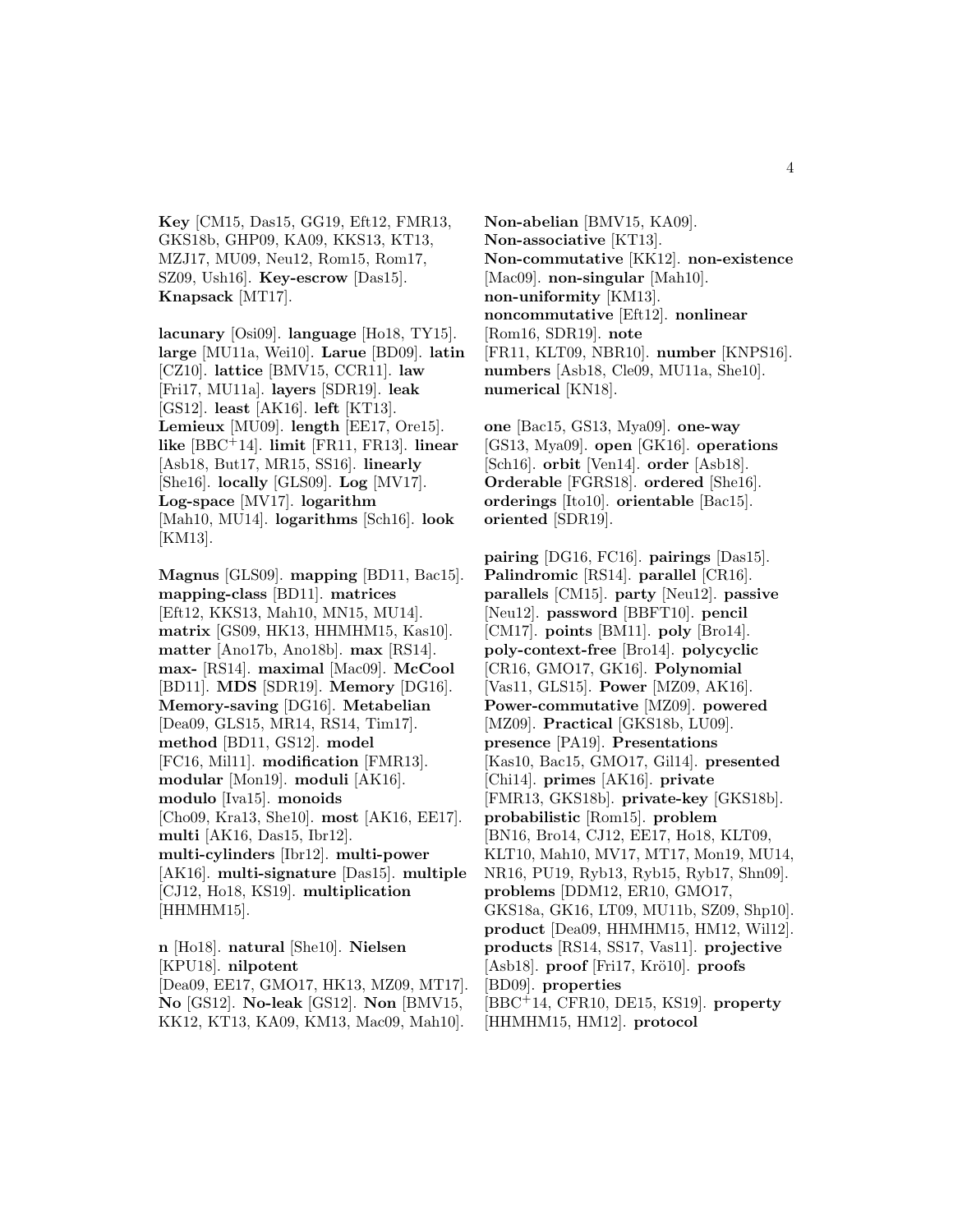**Key** [CM15, Das15, GG19, Eft12, FMR13, GKS18b, GHP09, KA09, KKS13, KT13, MZJ17, MU09, Neu12, Rom15, Rom17, SZ09, Ush16]. **Key-escrow** [Das15]. **Knapsack** [MT17].

**lacunary** [Osi09]. **language** [Ho18, TY15]. **large** [MU11a, Wei10]. **Larue** [BD09]. **latin** [CZ10]. **lattice** [BMV15, CCR11]. **law** [Fri17, MU11a]. **layers** [SDR19]. **leak** [GS12]. **least** [AK16]. **left** [KT13]. **Lemieux** [MU09]. **length** [EE17, Ore15]. **like** [BBC<sup>+</sup>14]. **limit** [FR11, FR13]. **linear** [Asb18, But17, MR15, SS16]. **linearly** [She16]. **locally** [GLS09]. **Log** [MV17]. **Log-space** [MV17]. **logarithm** [Mah10, MU14]. **logarithms** [Sch16]. **look** [KM13].

**Magnus** [GLS09]. **mapping** [BD11, Bac15]. **mapping-class** [BD11]. **matrices** [Eft12, KKS13, Mah10, MN15, MU14]. **matrix** [GS09, HK13, HHMHM15, Kas10]. **matter** [Ano17b, Ano18b]. **max** [RS14]. **max-** [RS14]. **maximal** [Mac09]. **McCool** [BD11]. **MDS** [SDR19]. **Memory** [DG16]. **Memory-saving** [DG16]. **Metabelian** [Dea09, GLS15, MR14, RS14, Tim17]. **method** [BD11, GS12]. **model** [FC16, Mil11]. **modification** [FMR13]. **modular** [Mon19]. **moduli** [AK16]. **modulo** [Iva15]. **monoids** [Cho09, Kra13, She10]. **most** [AK16, EE17]. **multi** [AK16, Das15, Ibr12]. **multi-cylinders** [Ibr12]. **multi-power** [AK16]. **multi-signature** [Das15]. **multiple** [CJ12, Ho18, KS19]. **multiplication** [HHMHM15].

**n** [Ho18]. **natural** [She10]. **Nielsen** [KPU18]. **nilpotent** [Dea09, EE17, GMO17, HK13, MZ09, MT17]. **No** [GS12]. **No-leak** [GS12]. **Non** [BMV15, KK12, KT13, KA09, KM13, Mac09, Mah10].

**Non-abelian** [BMV15, KA09]. **Non-associative** [KT13]. **Non-commutative** [KK12]. **non-existence** [Mac09]. **non-singular** [Mah10]. **non-uniformity** [KM13]. **noncommutative** [Eft12]. **nonlinear** [Rom16, SDR19]. **note** [FR11, KLT09, NBR10]. **number** [KNPS16]. **numbers** [Asb18, Cle09, MU11a, She10]. **numerical** [KN18].

**one** [Bac15, GS13, Mya09]. **one-way** [GS13, Mya09]. **open** [GK16]. **operations** [Sch16]. **orbit** [Ven14]. **order** [Asb18]. **Orderable** [FGRS18]. **ordered** [She16]. **orderings** [Ito10]. **orientable** [Bac15]. **oriented** [SDR19].

**pairing** [DG16, FC16]. **pairings** [Das15]. **Palindromic** [RS14]. **parallel** [CR16]. **parallels** [CM15]. **party** [Neu12]. **passive** [Neu12]. **password** [BBFT10]. **pencil** [CM17]. **points** [BM11]. **poly** [Bro14]. **poly-context-free** [Bro14]. **polycyclic** [CR16, GMO17, GK16]. **Polynomial** [Vas11, GLS15]. **Power** [MZ09, AK16]. **Power-commutative** [MZ09]. **powered** [MZ09]. **Practical** [GKS18b, LU09]. **presence** [PA19]. **Presentations** [Kas10, Bac15, GMO17, Gil14]. **presented** [Chi14]. **primes** [AK16]. **private** [FMR13, GKS18b]. **private-key** [GKS18b]. **probabilistic** [Rom15]. **problem** [BN16, Bro14, CJ12, EE17, Ho18, KLT09, KLT10, Mah10, MV17, MT17, Mon19, MU14, NR16, PU19, Ryb13, Ryb15, Ryb17, Shn09]. **problems** [DDM12, ER10, GMO17, GKS18a, GK16, LT09, MU11b, SZ09, Shp10]. **product** [Dea09, HHMHM15, HM12, Wil12]. **products** [RS14, SS17, Vas11]. **projective** [Asb18]. **proof** [Fri17, Krö10]. **proofs** [BD09]. **properties** [BBC<sup>+</sup>14, CFR10, DE15, KS19]. **property**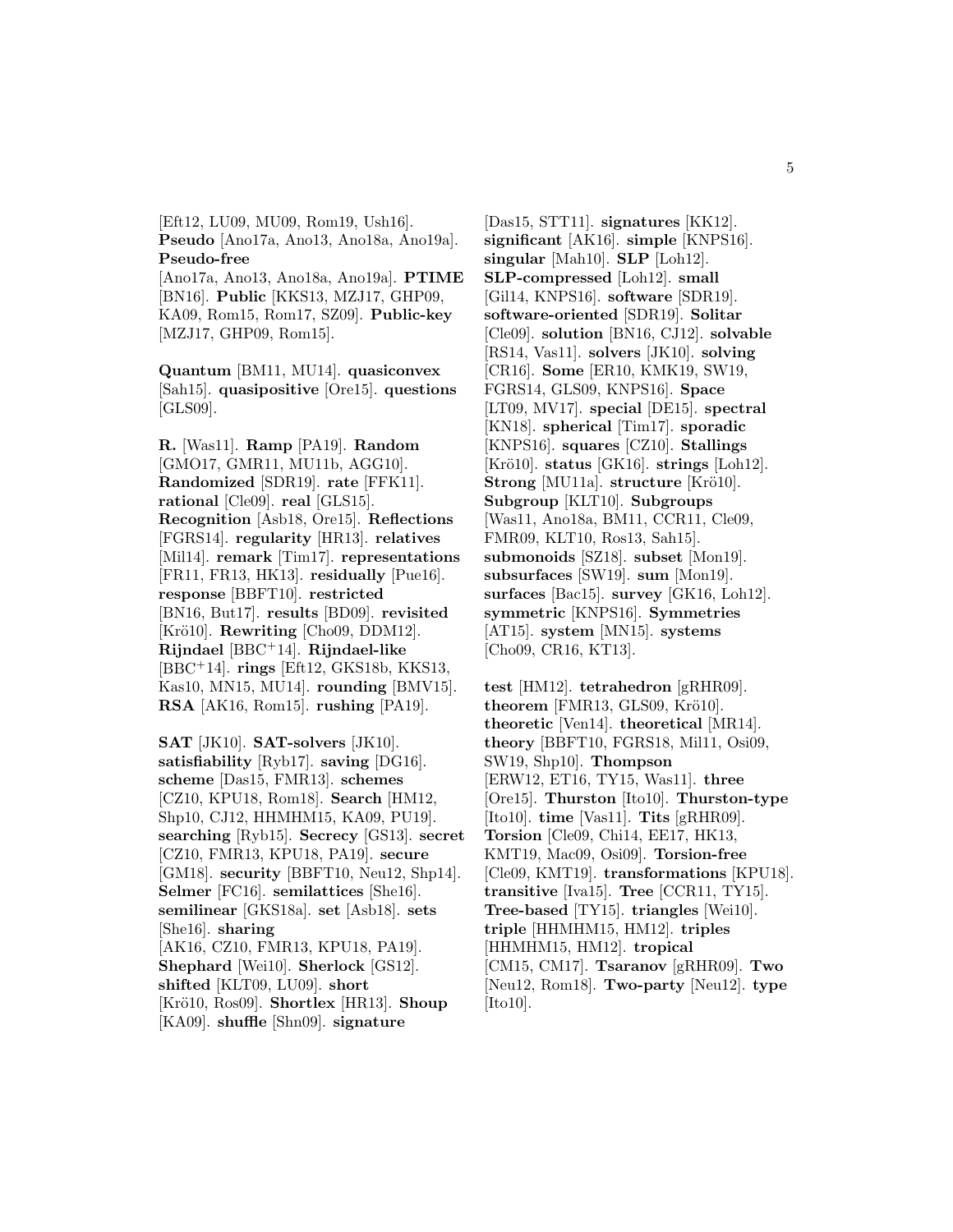[Eft12, LU09, MU09, Rom19, Ush16]. **Pseudo** [Ano17a, Ano13, Ano18a, Ano19a]. **Pseudo-free** [Ano17a, Ano13, Ano18a, Ano19a]. **PTIME** [BN16]. **Public** [KKS13, MZJ17, GHP09,

KA09, Rom15, Rom17, SZ09]. **Public-key** [MZJ17, GHP09, Rom15].

**Quantum** [BM11, MU14]. **quasiconvex** [Sah15]. **quasipositive** [Ore15]. **questions** [GLS09].

**R.** [Was11]. **Ramp** [PA19]. **Random** [GMO17, GMR11, MU11b, AGG10]. **Randomized** [SDR19]. **rate** [FFK11]. **rational** [Cle09]. **real** [GLS15]. **Recognition** [Asb18, Ore15]. **Reflections** [FGRS14]. **regularity** [HR13]. **relatives** [Mil14]. **remark** [Tim17]. **representations** [FR11, FR13, HK13]. **residually** [Pue16]. **response** [BBFT10]. **restricted** [BN16, But17]. **results** [BD09]. **revisited** [Krö10]. **Rewriting** [Cho09, DDM12]. **Rijndael** [BBC<sup>+</sup>14]. **Rijndael-like** [BBC<sup>+</sup>14]. **rings** [Eft12, GKS18b, KKS13, Kas10, MN15, MU14]. **rounding** [BMV15]. **RSA** [AK16, Rom15]. **rushing** [PA19].

**SAT** [JK10]. **SAT-solvers** [JK10]. **satisfiability** [Ryb17]. **saving** [DG16]. **scheme** [Das15, FMR13]. **schemes** [CZ10, KPU18, Rom18]. **Search** [HM12, Shp10, CJ12, HHMHM15, KA09, PU19]. **searching** [Ryb15]. **Secrecy** [GS13]. **secret** [CZ10, FMR13, KPU18, PA19]. **secure** [GM18]. **security** [BBFT10, Neu12, Shp14]. **Selmer** [FC16]. **semilattices** [She16]. **semilinear** [GKS18a]. **set** [Asb18]. **sets** [She16]. **sharing** [AK16, CZ10, FMR13, KPU18, PA19]. **Shephard** [Wei10]. **Sherlock** [GS12]. **shifted** [KLT09, LU09]. **short** [Krö10, Ros09]. **Shortlex** [HR13]. **Shoup** [KA09]. **shuffle** [Shn09]. **signature**

[Das15, STT11]. **signatures** [KK12]. **significant** [AK16]. **simple** [KNPS16]. **singular** [Mah10]. **SLP** [Loh12]. **SLP-compressed** [Loh12]. **small** [Gil14, KNPS16]. **software** [SDR19]. **software-oriented** [SDR19]. **Solitar** [Cle09]. **solution** [BN16, CJ12]. **solvable** [RS14, Vas11]. **solvers** [JK10]. **solving** [CR16]. **Some** [ER10, KMK19, SW19, FGRS14, GLS09, KNPS16]. **Space** [LT09, MV17]. **special** [DE15]. **spectral** [KN18]. **spherical** [Tim17]. **sporadic** [KNPS16]. **squares** [CZ10]. **Stallings** [Krö10]. **status** [GK16]. **strings** [Loh12]. **Strong** [MU11a]. **structure** [Krö10]. **Subgroup** [KLT10]. **Subgroups** [Was11, Ano18a, BM11, CCR11, Cle09, FMR09, KLT10, Ros13, Sah15]. **submonoids** [SZ18]. **subset** [Mon19]. **subsurfaces** [SW19]. **sum** [Mon19]. **surfaces** [Bac15]. **survey** [GK16, Loh12]. **symmetric** [KNPS16]. **Symmetries** [AT15]. **system** [MN15]. **systems** [Cho09, CR16, KT13].

**test** [HM12]. **tetrahedron** [gRHR09].  $theorem$  [FMR13, GLS09, Krö10]. **theoretic** [Ven14]. **theoretical** [MR14]. **theory** [BBFT10, FGRS18, Mil11, Osi09, SW19, Shp10]. **Thompson** [ERW12, ET16, TY15, Was11]. **three** [Ore15]. **Thurston** [Ito10]. **Thurston-type** [Ito10]. **time** [Vas11]. **Tits** [gRHR09]. **Torsion** [Cle09, Chi14, EE17, HK13, KMT19, Mac09, Osi09]. **Torsion-free** [Cle09, KMT19]. **transformations** [KPU18]. **transitive** [Iva15]. **Tree** [CCR11, TY15]. **Tree-based** [TY15]. **triangles** [Wei10]. **triple** [HHMHM15, HM12]. **triples** [HHMHM15, HM12]. **tropical** [CM15, CM17]. **Tsaranov** [gRHR09]. **Two** [Neu12, Rom18]. **Two-party** [Neu12]. **type** [Ito10].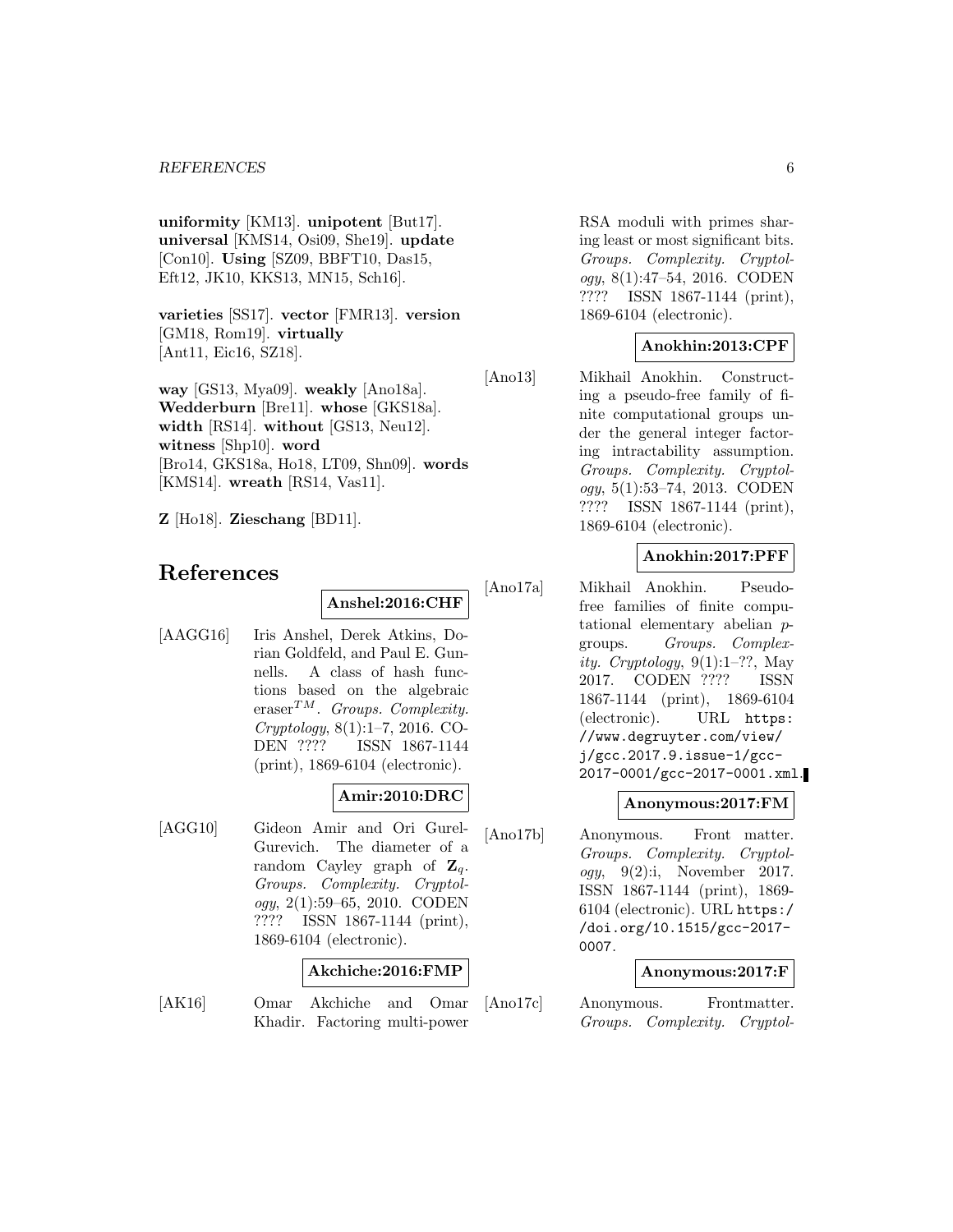**uniformity** [KM13]. **unipotent** [But17]. **universal** [KMS14, Osi09, She19]. **update** [Con10]. **Using** [SZ09, BBFT10, Das15, Eft12, JK10, KKS13, MN15, Sch16].

**varieties** [SS17]. **vector** [FMR13]. **version** [GM18, Rom19]. **virtually** [Ant11, Eic16, SZ18].

**way** [GS13, Mya09]. **weakly** [Ano18a]. **Wedderburn** [Bre11]. **whose** [GKS18a]. **width** [RS14]. **without** [GS13, Neu12]. **witness** [Shp10]. **word** [Bro14, GKS18a, Ho18, LT09, Shn09]. **words** [KMS14]. **wreath** [RS14, Vas11].

**Z** [Ho18]. **Zieschang** [BD11].

# **References**

**Anshel:2016:CHF**

[AAGG16] Iris Anshel, Derek Atkins, Dorian Goldfeld, and Paul E. Gunnells. A class of hash functions based on the algebraic eraser<sup>TM</sup>. Groups. Complexity. Cryptology, 8(1):1–7, 2016. CO-DEN ???? ISSN 1867-1144 (print), 1869-6104 (electronic).

### **Amir:2010:DRC**

[AGG10] Gideon Amir and Ori Gurel-Gurevich. The diameter of a random Cayley graph of  $\mathbf{Z}_q$ . Groups. Complexity. Cryptol $oqu, 2(1):59-65, 2010.$  CODEN ???? ISSN 1867-1144 (print), 1869-6104 (electronic).

#### **Akchiche:2016:FMP**

[AK16] Omar Akchiche and Omar Khadir. Factoring multi-power

RSA moduli with primes sharing least or most significant bits. Groups. Complexity. Cryptology, 8(1):47–54, 2016. CODEN ???? ISSN 1867-1144 (print), 1869-6104 (electronic).

### **Anokhin:2013:CPF**

[Ano13] Mikhail Anokhin. Constructing a pseudo-free family of finite computational groups under the general integer factoring intractability assumption. Groups. Complexity. Cryptology, 5(1):53–74, 2013. CODEN ???? ISSN 1867-1144 (print), 1869-6104 (electronic).

### **Anokhin:2017:PFF**

[Ano17a] Mikhail Anokhin. Pseudofree families of finite computational elementary abelian pgroups. Groups. Complexity. Cryptology, 9(1):1–??, May 2017. CODEN ???? ISSN 1867-1144 (print), 1869-6104 (electronic). URL https: //www.degruyter.com/view/ j/gcc.2017.9.issue-1/gcc-2017-0001/gcc-2017-0001.xml.

#### **Anonymous:2017:FM**

[Ano17b] Anonymous. Front matter. Groups. Complexity. Cryptology, 9(2):i, November 2017. ISSN 1867-1144 (print), 1869- 6104 (electronic). URL https:/ /doi.org/10.1515/gcc-2017- 0007.

#### **Anonymous:2017:F**

[Ano17c] Anonymous. Frontmatter. Groups. Complexity. Cryptol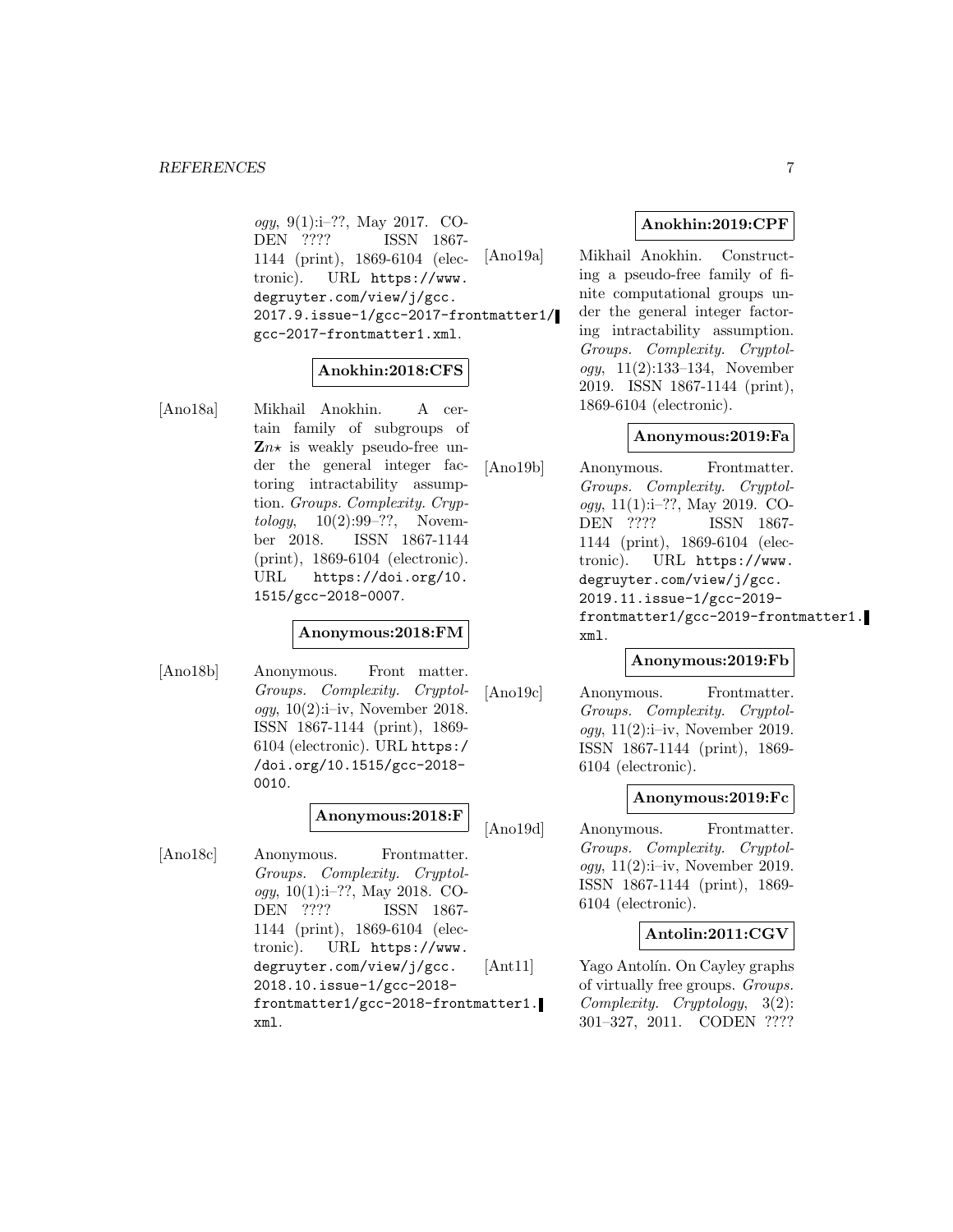ogy, 9(1):i–??, May 2017. CO-DEN ???? ISSN 1867- 1144 (print), 1869-6104 (electronic). URL https://www. degruyter.com/view/j/gcc. 2017.9.issue-1/gcc-2017-frontmatter1/ gcc-2017-frontmatter1.xml.

#### **Anokhin:2018:CFS**

[Ano18a] Mikhail Anokhin. A certain family of subgroups of  $\mathbf{Z}n\star$  is weakly pseudo-free under the general integer factoring intractability assumption. Groups. Complexity. Cryp $tology, 10(2):99-??, Novem$ ber 2018. ISSN 1867-1144 (print), 1869-6104 (electronic). URL https://doi.org/10. 1515/gcc-2018-0007.

#### **Anonymous:2018:FM**

[Ano18b] Anonymous. Front matter. Groups. Complexity. Cryptology,  $10(2)$ :i–iv, November 2018. ISSN 1867-1144 (print), 1869- 6104 (electronic). URL https:/ /doi.org/10.1515/gcc-2018- 0010.

### **Anonymous:2018:F**

[Ano18c] Anonymous. Frontmatter. Groups. Complexity. Cryptology, 10(1):i–??, May 2018. CO-DEN ???? ISSN 1867- 1144 (print), 1869-6104 (electronic). URL https://www. degruyter.com/view/j/gcc. 2018.10.issue-1/gcc-2018 frontmatter1/gcc-2018-frontmatter1. xml.

### **Anokhin:2019:CPF**

[Ano19a] Mikhail Anokhin. Constructing a pseudo-free family of finite computational groups under the general integer factoring intractability assumption. Groups. Complexity. Cryptology, 11(2):133–134, November 2019. ISSN 1867-1144 (print), 1869-6104 (electronic).

### **Anonymous:2019:Fa**

[Ano19b] Anonymous. Frontmatter. Groups. Complexity. Cryptology, 11(1):i–??, May 2019. CO-DEN ???? ISSN 1867- 1144 (print), 1869-6104 (electronic). URL https://www. degruyter.com/view/j/gcc. 2019.11.issue-1/gcc-2019 frontmatter1/gcc-2019-frontmatter1. xml.

#### **Anonymous:2019:Fb**

[Ano19c] Anonymous. Frontmatter. Groups. Complexity. Cryptol*ogy*,  $11(2):i-iv$ , November 2019. ISSN 1867-1144 (print), 1869- 6104 (electronic).

#### **Anonymous:2019:Fc**

[Ano19d] Anonymous. Frontmatter. Groups. Complexity. Cryptol $oqy$ , 11(2):i–iv, November 2019. ISSN 1867-1144 (print), 1869- 6104 (electronic).

### **Antolin:2011:CGV**

[Ant11] Yago Antolín. On Cayley graphs of virtually free groups. Groups. Complexity. Cryptology, 3(2): 301–327, 2011. CODEN ????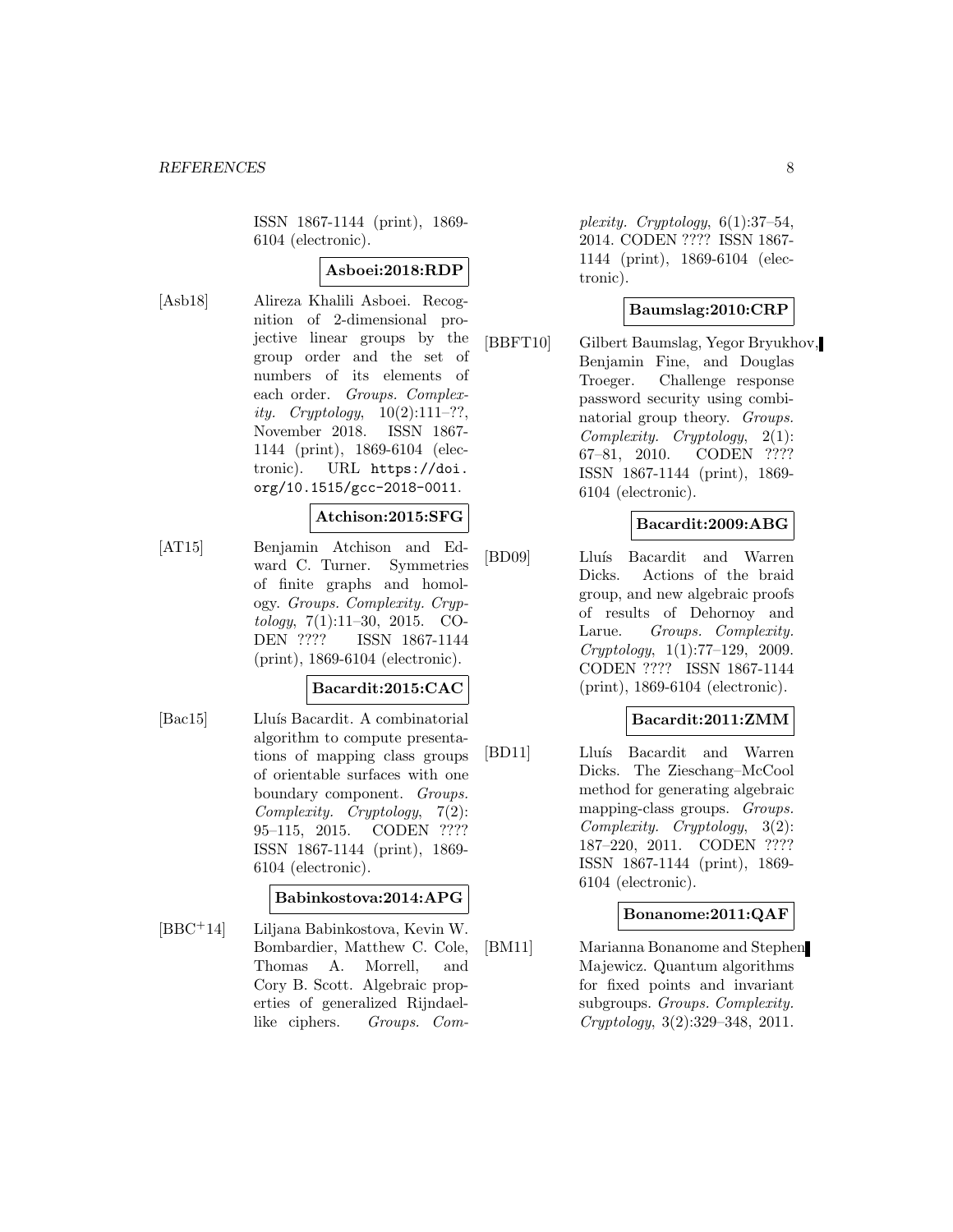ISSN 1867-1144 (print), 1869- 6104 (electronic).

### **Asboei:2018:RDP**

[Asb18] Alireza Khalili Asboei. Recognition of 2-dimensional projective linear groups by the group order and the set of numbers of its elements of each order. Groups. Complexity. Cryptology,  $10(2):111-??$ , November 2018. ISSN 1867- 1144 (print), 1869-6104 (electronic). URL https://doi. org/10.1515/gcc-2018-0011.

#### **Atchison:2015:SFG**

[AT15] Benjamin Atchison and Edward C. Turner. Symmetries of finite graphs and homology. Groups. Complexity. Cryptology, 7(1):11–30, 2015. CO-DEN ???? ISSN 1867-1144 (print), 1869-6104 (electronic).

#### **Bacardit:2015:CAC**

[Bac15] Lluís Bacardit. A combinatorial algorithm to compute presentations of mapping class groups of orientable surfaces with one boundary component. Groups. Complexity. Cryptology, 7(2): 95–115, 2015. CODEN ???? ISSN 1867-1144 (print), 1869- 6104 (electronic).

### **Babinkostova:2014:APG**

[BBC<sup>+</sup>14] Liljana Babinkostova, Kevin W. Bombardier, Matthew C. Cole, Thomas A. Morrell, and Cory B. Scott. Algebraic properties of generalized Rijndaellike ciphers. Groups. Com-

plexity. Cryptology,  $6(1):37-54$ , 2014. CODEN ???? ISSN 1867- 1144 (print), 1869-6104 (electronic).

### **Baumslag:2010:CRP**

[BBFT10] Gilbert Baumslag, Yegor Bryukhov, Benjamin Fine, and Douglas Troeger. Challenge response password security using combinatorial group theory. Groups. Complexity. Cryptology, 2(1): 67–81, 2010. CODEN ???? ISSN 1867-1144 (print), 1869- 6104 (electronic).

#### **Bacardit:2009:ABG**

[BD09] Lluís Bacardit and Warren Dicks. Actions of the braid group, and new algebraic proofs of results of Dehornoy and Larue. Groups. Complexity. Cryptology, 1(1):77–129, 2009. CODEN ???? ISSN 1867-1144 (print), 1869-6104 (electronic).

#### **Bacardit:2011:ZMM**

[BD11] Lluís Bacardit and Warren Dicks. The Zieschang–McCool method for generating algebraic mapping-class groups. Groups. Complexity. Cryptology, 3(2): 187–220, 2011. CODEN ???? ISSN 1867-1144 (print), 1869- 6104 (electronic).

#### **Bonanome:2011:QAF**

[BM11] Marianna Bonanome and Stephen Majewicz. Quantum algorithms for fixed points and invariant subgroups. Groups. Complexity. Cryptology, 3(2):329–348, 2011.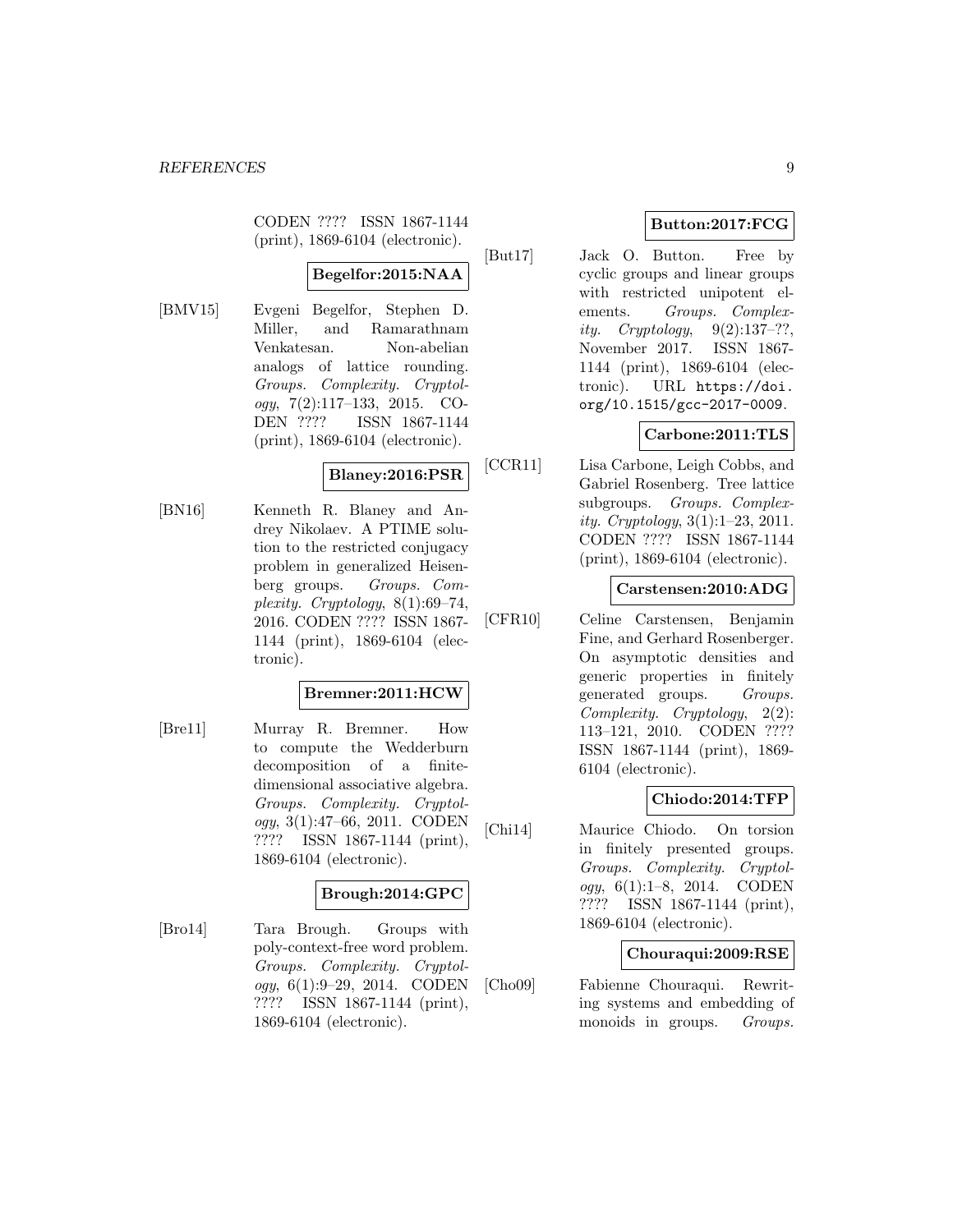CODEN ???? ISSN 1867-1144 (print), 1869-6104 (electronic).

# **Begelfor:2015:NAA**

[BMV15] Evgeni Begelfor, Stephen D. Miller, and Ramarathnam Venkatesan. Non-abelian analogs of lattice rounding. Groups. Complexity. Cryptology, 7(2):117–133, 2015. CO-DEN ???? ISSN 1867-1144 (print), 1869-6104 (electronic).

### **Blaney:2016:PSR**

[BN16] Kenneth R. Blaney and Andrey Nikolaev. A PTIME solution to the restricted conjugacy problem in generalized Heisenberg groups. Groups. Complexity. Cryptology, 8(1):69–74, 2016. CODEN ???? ISSN 1867- 1144 (print), 1869-6104 (electronic).

### **Bremner:2011:HCW**

[Bre11] Murray R. Bremner. How to compute the Wedderburn decomposition of a finitedimensional associative algebra. Groups. Complexity. Cryptology, 3(1):47–66, 2011. CODEN ???? ISSN 1867-1144 (print), 1869-6104 (electronic).

### **Brough:2014:GPC**

[Bro14] Tara Brough. Groups with poly-context-free word problem. Groups. Complexity. Cryptology, 6(1):9–29, 2014. CODEN ???? ISSN 1867-1144 (print), 1869-6104 (electronic).

# **Button:2017:FCG**

[But17] Jack O. Button. Free by cyclic groups and linear groups with restricted unipotent elements. Groups. Complexity. Cryptology,  $9(2):137-??$ , November 2017. ISSN 1867- 1144 (print), 1869-6104 (electronic). URL https://doi. org/10.1515/gcc-2017-0009.

### **Carbone:2011:TLS**

[CCR11] Lisa Carbone, Leigh Cobbs, and Gabriel Rosenberg. Tree lattice subgroups. Groups. Complexity. Cryptology, 3(1):1–23, 2011. CODEN ???? ISSN 1867-1144 (print), 1869-6104 (electronic).

### **Carstensen:2010:ADG**

[CFR10] Celine Carstensen, Benjamin Fine, and Gerhard Rosenberger. On asymptotic densities and generic properties in finitely generated groups. Groups. Complexity. Cryptology, 2(2): 113–121, 2010. CODEN ???? ISSN 1867-1144 (print), 1869- 6104 (electronic).

### **Chiodo:2014:TFP**

[Chi14] Maurice Chiodo. On torsion in finitely presented groups. Groups. Complexity. Cryptol $oqy, 6(1):1-8, 2014.$  CODEN ???? ISSN 1867-1144 (print), 1869-6104 (electronic).

#### **Chouraqui:2009:RSE**

[Cho09] Fabienne Chouraqui. Rewriting systems and embedding of monoids in groups. *Groups*.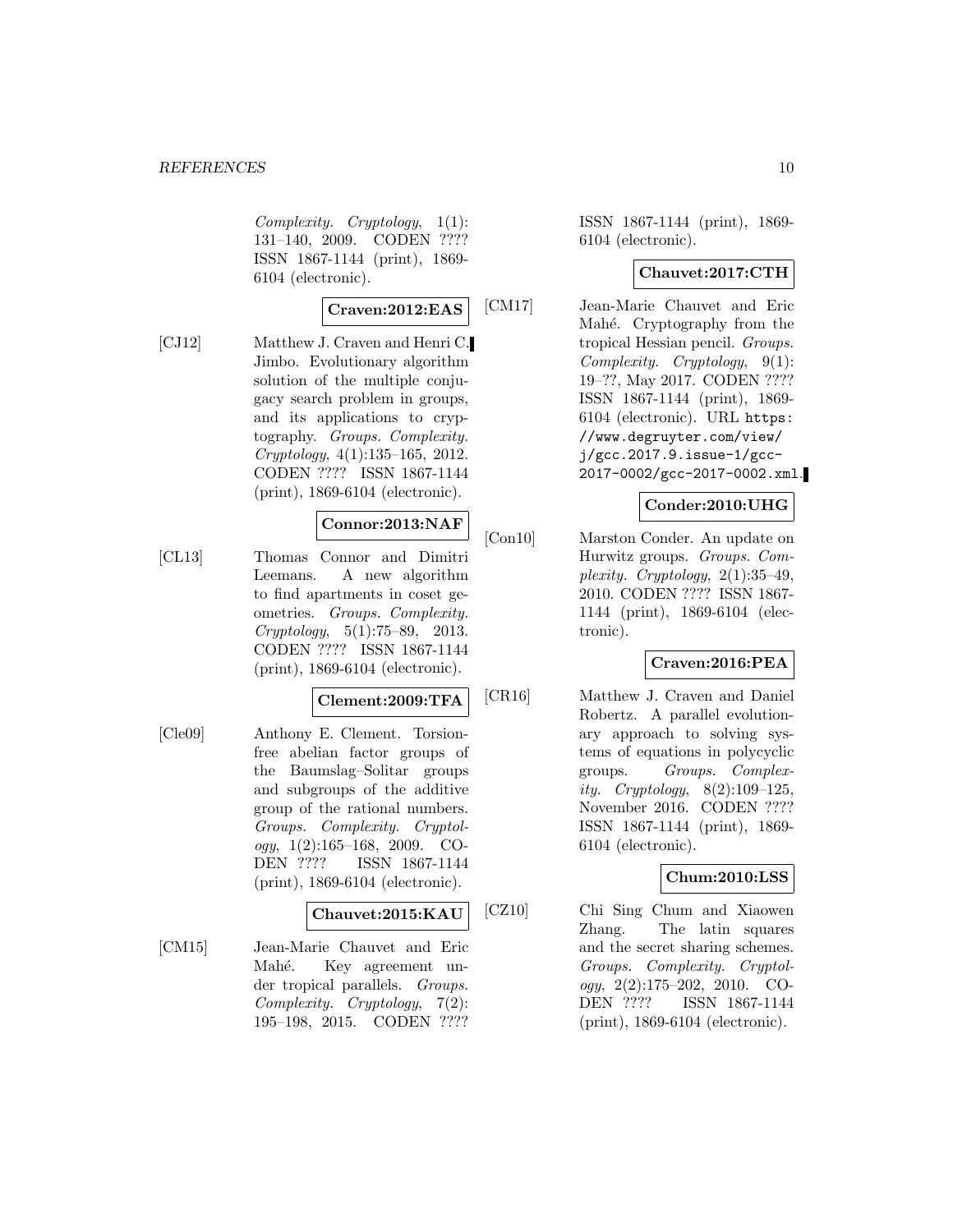Complexity. Cryptology, 1(1): 131–140, 2009. CODEN ???? ISSN 1867-1144 (print), 1869- 6104 (electronic).

### **Craven:2012:EAS**

[CJ12] Matthew J. Craven and Henri C. Jimbo. Evolutionary algorithm solution of the multiple conjugacy search problem in groups, and its applications to cryptography. Groups. Complexity. Cryptology, 4(1):135–165, 2012. CODEN ???? ISSN 1867-1144 (print), 1869-6104 (electronic).

#### **Connor:2013:NAF**

[CL13] Thomas Connor and Dimitri Leemans. A new algorithm to find apartments in coset geometries. Groups. Complexity. Cryptology, 5(1):75–89, 2013. CODEN ???? ISSN 1867-1144 (print), 1869-6104 (electronic).

#### **Clement:2009:TFA**

[Cle09] Anthony E. Clement. Torsionfree abelian factor groups of the Baumslag–Solitar groups and subgroups of the additive group of the rational numbers. Groups. Complexity. Cryptology,  $1(2):165-168$ ,  $2009$ . CO-DEN ???? ISSN 1867-1144 (print), 1869-6104 (electronic).

### **Chauvet:2015:KAU**

[CM15] Jean-Marie Chauvet and Eric Mahé. Key agreement under tropical parallels. Groups. Complexity. Cryptology, 7(2): 195–198, 2015. CODEN ????

ISSN 1867-1144 (print), 1869- 6104 (electronic).

#### **Chauvet:2017:CTH**

[CM17] Jean-Marie Chauvet and Eric Mahé. Cryptography from the tropical Hessian pencil. Groups. Complexity. Cryptology, 9(1): 19–??, May 2017. CODEN ???? ISSN 1867-1144 (print), 1869- 6104 (electronic). URL https: //www.degruyter.com/view/ j/gcc.2017.9.issue-1/gcc-2017-0002/gcc-2017-0002.xml.

### **Conder:2010:UHG**

[Con10] Marston Conder. An update on Hurwitz groups. Groups. Complexity. Cryptology,  $2(1):35-49$ , 2010. CODEN ???? ISSN 1867- 1144 (print), 1869-6104 (electronic).

### **Craven:2016:PEA**

[CR16] Matthew J. Craven and Daniel Robertz. A parallel evolutionary approach to solving systems of equations in polycyclic groups. Groups. Complexity. Cryptology, 8(2):109–125, November 2016. CODEN ???? ISSN 1867-1144 (print), 1869- 6104 (electronic).

### **Chum:2010:LSS**

[CZ10] Chi Sing Chum and Xiaowen Zhang. The latin squares and the secret sharing schemes. Groups. Complexity. Cryptology, 2(2):175–202, 2010. CO-DEN ???? ISSN 1867-1144 (print), 1869-6104 (electronic).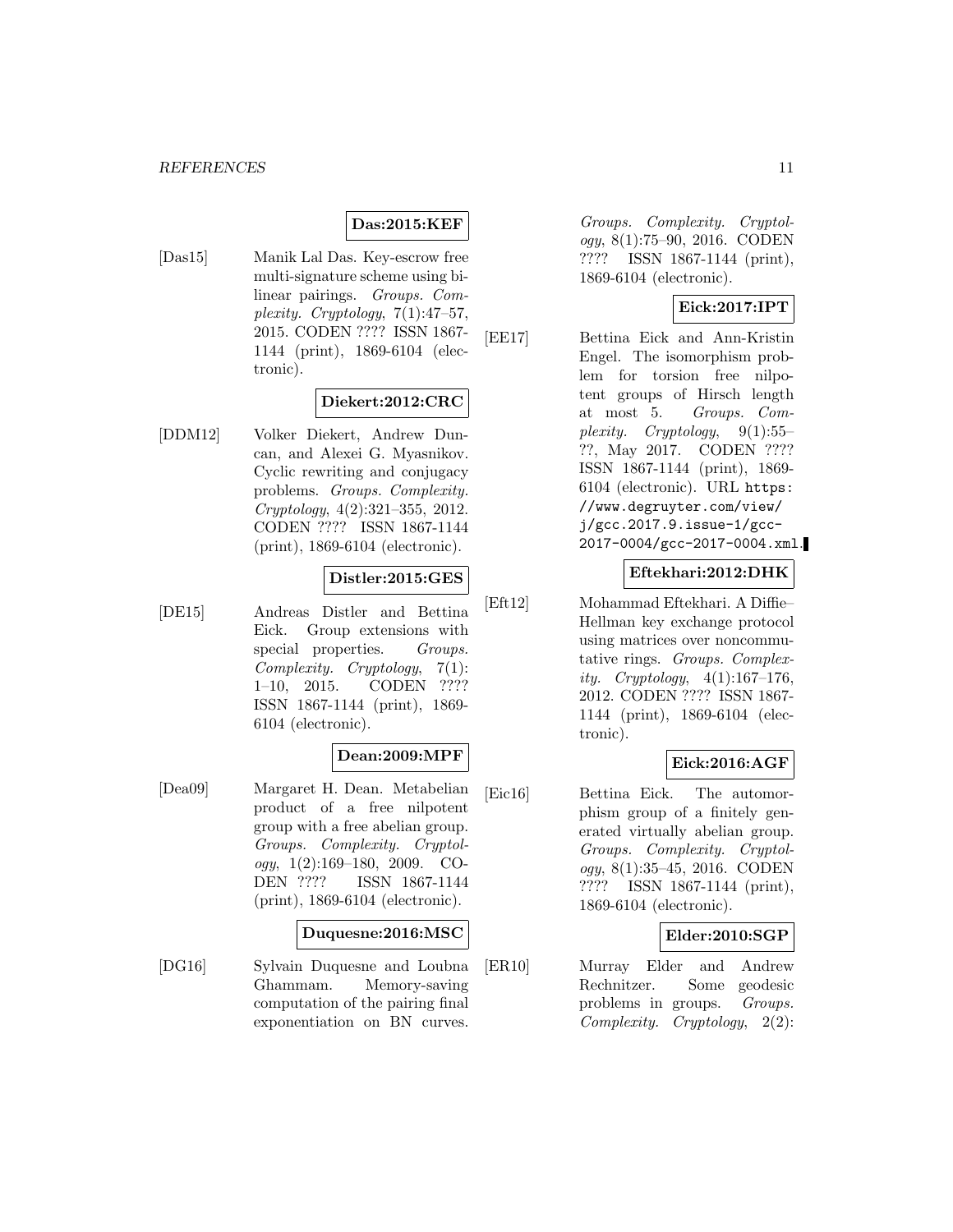#### **Das:2015:KEF**

[Das15] Manik Lal Das. Key-escrow free multi-signature scheme using bilinear pairings. Groups. Complexity. Cryptology, 7(1):47–57, 2015. CODEN ???? ISSN 1867- 1144 (print), 1869-6104 (electronic).

#### **Diekert:2012:CRC**

[DDM12] Volker Diekert, Andrew Duncan, and Alexei G. Myasnikov. Cyclic rewriting and conjugacy problems. Groups. Complexity. Cryptology, 4(2):321–355, 2012. CODEN ???? ISSN 1867-1144 (print), 1869-6104 (electronic).

### **Distler:2015:GES**

[DE15] Andreas Distler and Bettina Eick. Group extensions with special properties. Groups. Complexity. Cryptology, 7(1): 1–10, 2015. CODEN ???? ISSN 1867-1144 (print), 1869- 6104 (electronic).

#### **Dean:2009:MPF**

[Dea09] Margaret H. Dean. Metabelian product of a free nilpotent group with a free abelian group. Groups. Complexity. Cryptology, 1(2):169–180, 2009. CO-DEN ???? ISSN 1867-1144 (print), 1869-6104 (electronic).

#### **Duquesne:2016:MSC**

[DG16] Sylvain Duquesne and Loubna Ghammam. Memory-saving computation of the pairing final exponentiation on BN curves.

Groups. Complexity. Cryptology, 8(1):75–90, 2016. CODEN ???? ISSN 1867-1144 (print), 1869-6104 (electronic).

### **Eick:2017:IPT**

[EE17] Bettina Eick and Ann-Kristin Engel. The isomorphism problem for torsion free nilpotent groups of Hirsch length at most 5. Groups. Complexity. Cryptology,  $9(1):55-$ ??, May 2017. CODEN ???? ISSN 1867-1144 (print), 1869- 6104 (electronic). URL https: //www.degruyter.com/view/ j/gcc.2017.9.issue-1/gcc-2017-0004/gcc-2017-0004.xml.

#### **Eftekhari:2012:DHK**

[Eft12] Mohammad Eftekhari. A Diffie– Hellman key exchange protocol using matrices over noncommutative rings. Groups. Complexity. Cryptology,  $4(1):167-176$ , 2012. CODEN ???? ISSN 1867- 1144 (print), 1869-6104 (electronic).

### **Eick:2016:AGF**

[Eic16] Bettina Eick. The automorphism group of a finitely generated virtually abelian group. Groups. Complexity. Cryptology, 8(1):35–45, 2016. CODEN ???? ISSN 1867-1144 (print), 1869-6104 (electronic).

#### **Elder:2010:SGP**

[ER10] Murray Elder and Andrew Rechnitzer. Some geodesic problems in groups. Groups. Complexity. Cryptology, 2(2):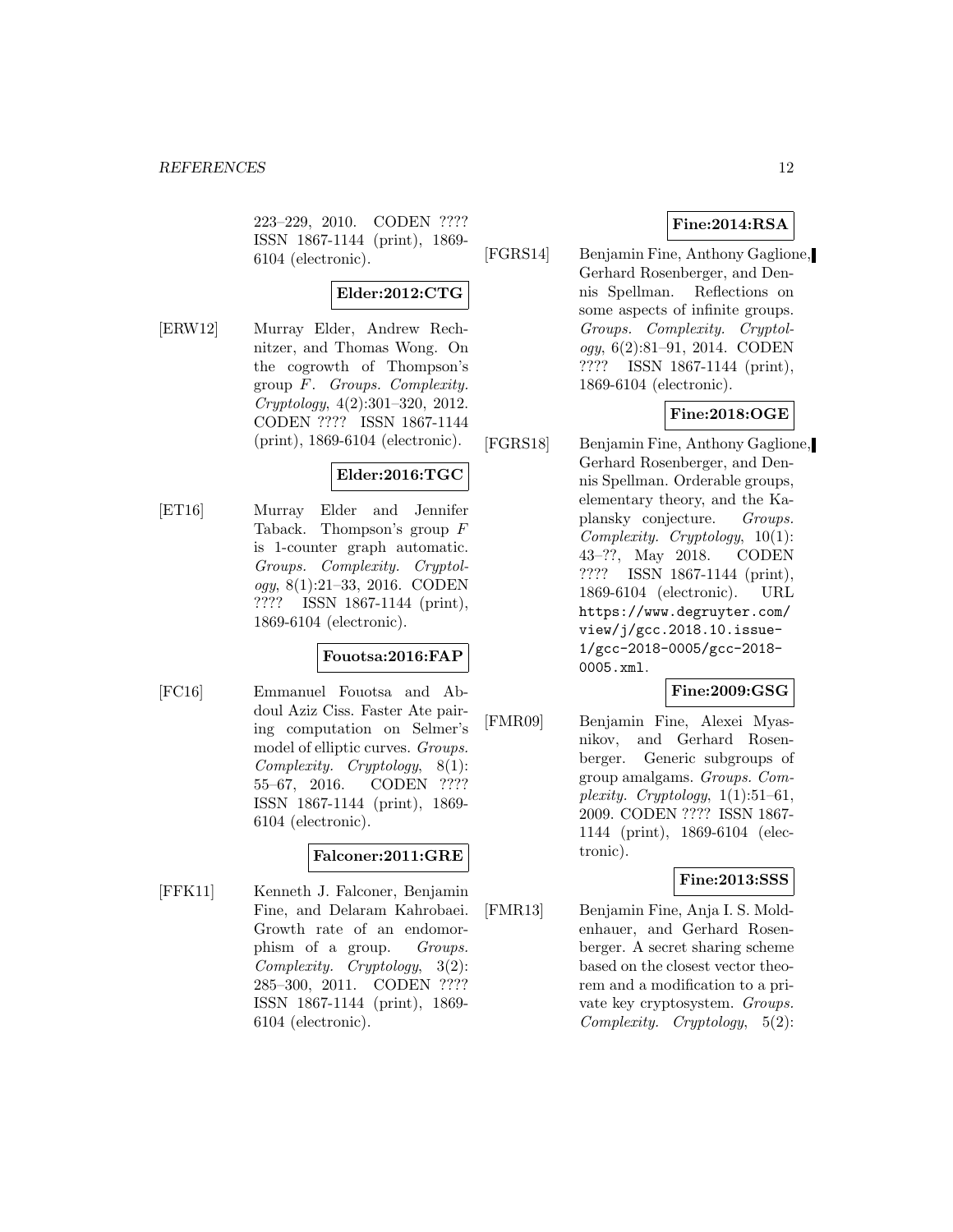223–229, 2010. CODEN ???? ISSN 1867-1144 (print), 1869- 6104 (electronic).

# **Elder:2012:CTG**

[ERW12] Murray Elder, Andrew Rechnitzer, and Thomas Wong. On the cogrowth of Thompson's group F. Groups. Complexity. Cryptology, 4(2):301–320, 2012. CODEN ???? ISSN 1867-1144 (print), 1869-6104 (electronic).

# **Elder:2016:TGC**

[ET16] Murray Elder and Jennifer Taback. Thompson's group F is 1-counter graph automatic. Groups. Complexity. Cryptology, 8(1):21–33, 2016. CODEN ???? ISSN 1867-1144 (print), 1869-6104 (electronic).

### **Fouotsa:2016:FAP**

[FC16] Emmanuel Fouotsa and Abdoul Aziz Ciss. Faster Ate pairing computation on Selmer's model of elliptic curves. Groups. Complexity. Cryptology, 8(1): 55–67, 2016. CODEN ???? ISSN 1867-1144 (print), 1869- 6104 (electronic).

### **Falconer:2011:GRE**

[FFK11] Kenneth J. Falconer, Benjamin Fine, and Delaram Kahrobaei. Growth rate of an endomorphism of a group. *Groups*. Complexity. Cryptology, 3(2): 285–300, 2011. CODEN ???? ISSN 1867-1144 (print), 1869- 6104 (electronic).

### **Fine:2014:RSA**

[FGRS14] Benjamin Fine, Anthony Gaglione, Gerhard Rosenberger, and Dennis Spellman. Reflections on some aspects of infinite groups. Groups. Complexity. Cryptology, 6(2):81–91, 2014. CODEN ???? ISSN 1867-1144 (print), 1869-6104 (electronic).

# **Fine:2018:OGE**

[FGRS18] Benjamin Fine, Anthony Gaglione, Gerhard Rosenberger, and Dennis Spellman. Orderable groups, elementary theory, and the Kaplansky conjecture. Groups. Complexity. Cryptology, 10(1): 43–??, May 2018. CODEN ???? ISSN 1867-1144 (print), 1869-6104 (electronic). URL https://www.degruyter.com/ view/j/gcc.2018.10.issue-1/gcc-2018-0005/gcc-2018- 0005.xml.

# **Fine:2009:GSG**

[FMR09] Benjamin Fine, Alexei Myasnikov, and Gerhard Rosenberger. Generic subgroups of group amalgams. Groups. Complexity. Cryptology,  $1(1):51-61$ , 2009. CODEN ???? ISSN 1867- 1144 (print), 1869-6104 (electronic).

### **Fine:2013:SSS**

[FMR13] Benjamin Fine, Anja I. S. Moldenhauer, and Gerhard Rosenberger. A secret sharing scheme based on the closest vector theorem and a modification to a private key cryptosystem. Groups. Complexity. Cryptology, 5(2):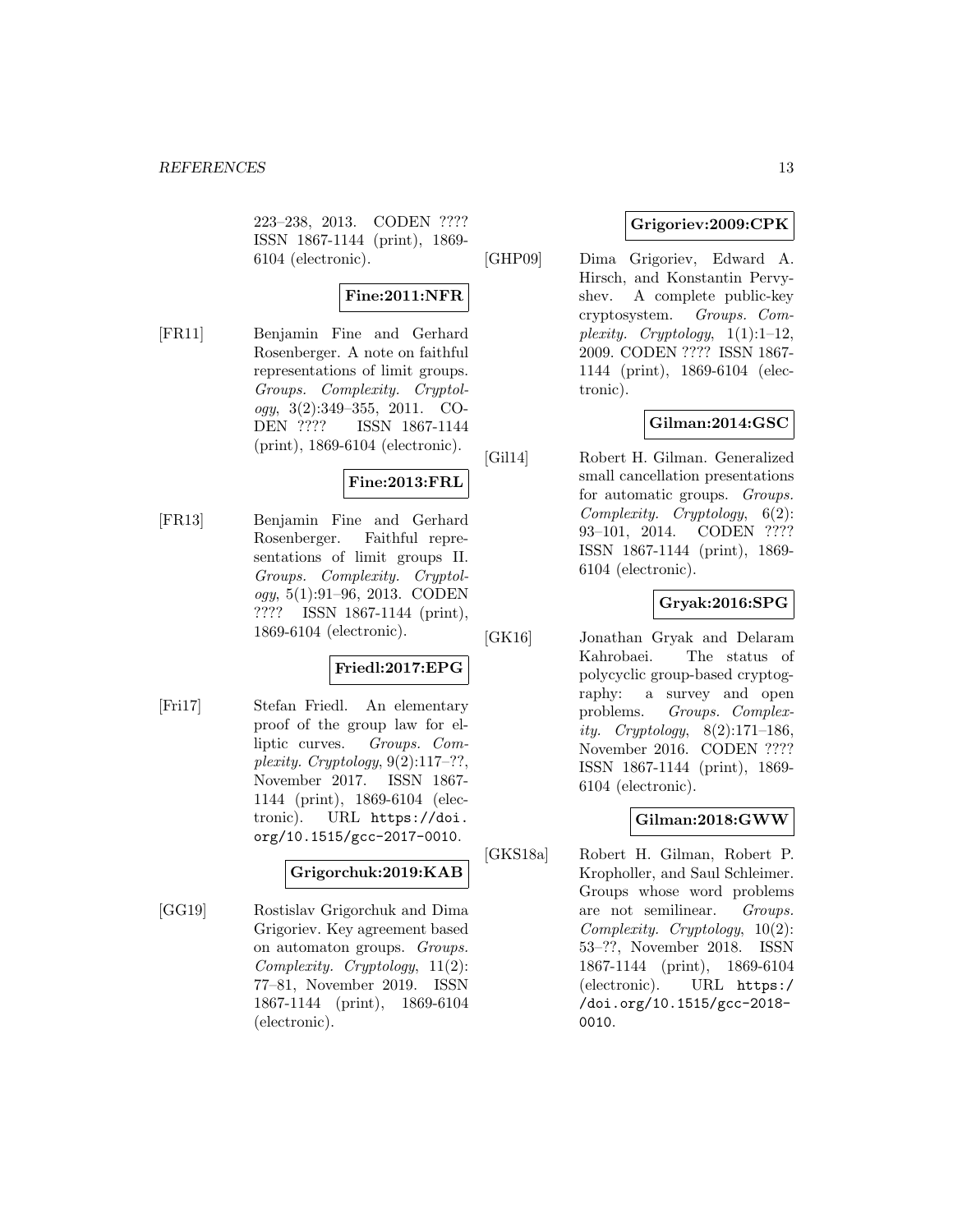223–238, 2013. CODEN ???? ISSN 1867-1144 (print), 1869- 6104 (electronic).

### **Fine:2011:NFR**

[FR11] Benjamin Fine and Gerhard Rosenberger. A note on faithful representations of limit groups. Groups. Complexity. Cryptology, 3(2):349–355, 2011. CO-DEN ???? ISSN 1867-1144 (print), 1869-6104 (electronic).

### **Fine:2013:FRL**

[FR13] Benjamin Fine and Gerhard Rosenberger. Faithful representations of limit groups II. Groups. Complexity. Cryptol $oqu, 5(1):91-96, 2013.$  CODEN ???? ISSN 1867-1144 (print), 1869-6104 (electronic).

### **Friedl:2017:EPG**

[Fri17] Stefan Friedl. An elementary proof of the group law for elliptic curves. Groups. Complexity. Cryptology,  $9(2):117-??$ , November 2017. ISSN 1867- 1144 (print), 1869-6104 (electronic). URL https://doi. org/10.1515/gcc-2017-0010.

### **Grigorchuk:2019:KAB**

[GG19] Rostislav Grigorchuk and Dima Grigoriev. Key agreement based on automaton groups. Groups. Complexity. Cryptology, 11(2): 77–81, November 2019. ISSN 1867-1144 (print), 1869-6104 (electronic).

### **Grigoriev:2009:CPK**

[GHP09] Dima Grigoriev, Edward A. Hirsch, and Konstantin Pervyshev. A complete public-key cryptosystem. Groups. Complexity. Cryptology,  $1(1):1-12$ , 2009. CODEN ???? ISSN 1867- 1144 (print), 1869-6104 (electronic).

### **Gilman:2014:GSC**

[Gil14] Robert H. Gilman. Generalized small cancellation presentations for automatic groups. Groups. Complexity. Cryptology, 6(2): 93–101, 2014. CODEN ???? ISSN 1867-1144 (print), 1869- 6104 (electronic).

### **Gryak:2016:SPG**

[GK16] Jonathan Gryak and Delaram Kahrobaei. The status of polycyclic group-based cryptography: a survey and open problems. Groups. Complexity. Cryptology,  $8(2):171-186$ , November 2016. CODEN ???? ISSN 1867-1144 (print), 1869- 6104 (electronic).

### **Gilman:2018:GWW**

[GKS18a] Robert H. Gilman, Robert P. Kropholler, and Saul Schleimer. Groups whose word problems are not semilinear. Groups. Complexity. Cryptology, 10(2): 53–??, November 2018. ISSN 1867-1144 (print), 1869-6104 (electronic). URL https:/ /doi.org/10.1515/gcc-2018- 0010.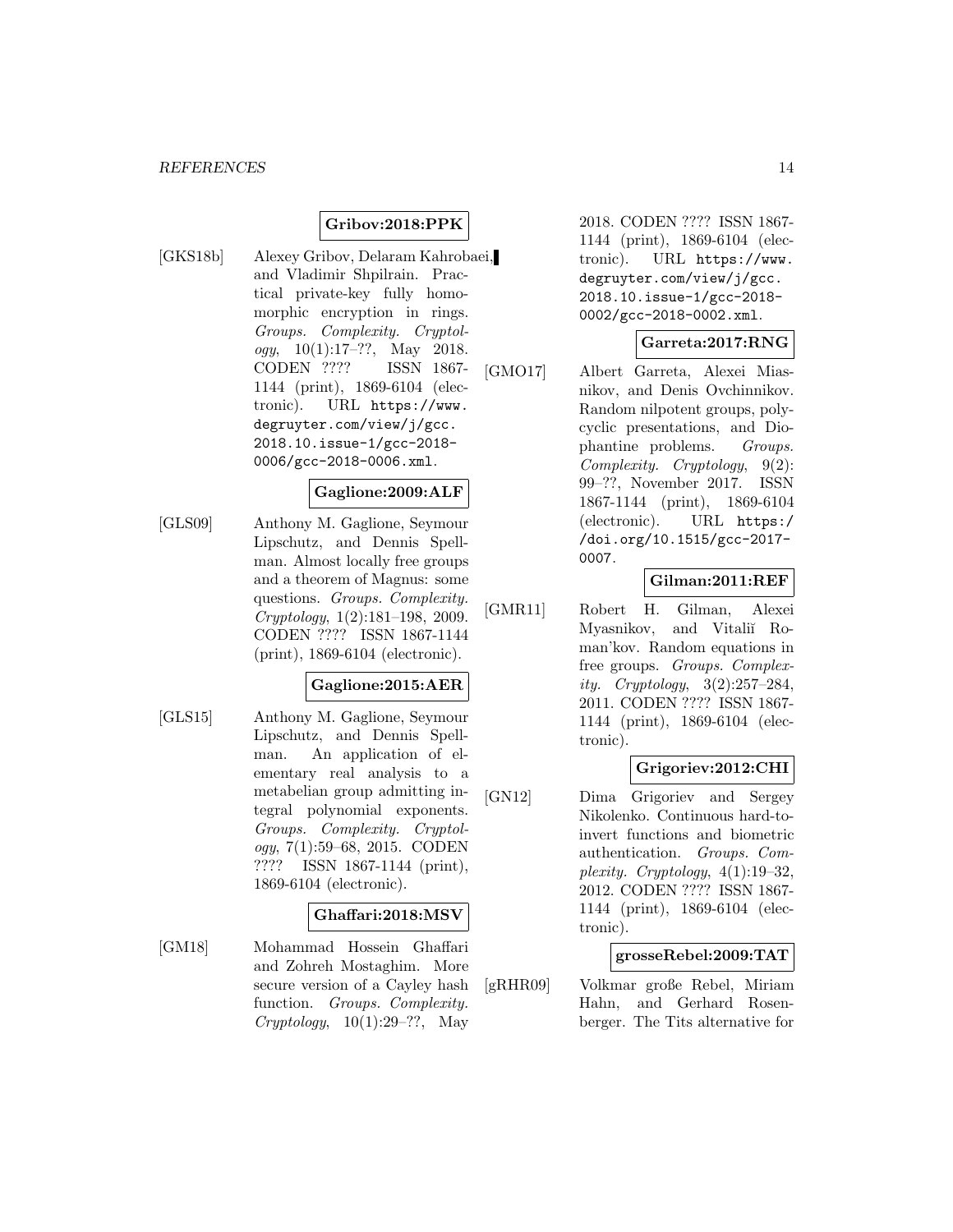### **Gribov:2018:PPK**

[GKS18b] Alexey Gribov, Delaram Kahrobaei, and Vladimir Shpilrain. Practical private-key fully homomorphic encryption in rings. Groups. Complexity. Cryptology,  $10(1):17-??$ , May 2018. CODEN ???? ISSN 1867- 1144 (print), 1869-6104 (electronic). URL https://www. degruyter.com/view/j/gcc. 2018.10.issue-1/gcc-2018- 0006/gcc-2018-0006.xml.

### **Gaglione:2009:ALF**

[GLS09] Anthony M. Gaglione, Seymour Lipschutz, and Dennis Spellman. Almost locally free groups and a theorem of Magnus: some questions. Groups. Complexity. Cryptology, 1(2):181–198, 2009. CODEN ???? ISSN 1867-1144 (print), 1869-6104 (electronic).

#### **Gaglione:2015:AER**

[GLS15] Anthony M. Gaglione, Seymour Lipschutz, and Dennis Spellman. An application of elementary real analysis to a metabelian group admitting integral polynomial exponents. Groups. Complexity. Cryptology, 7(1):59–68, 2015. CODEN ???? ISSN 1867-1144 (print), 1869-6104 (electronic).

#### **Ghaffari:2018:MSV**

[GM18] Mohammad Hossein Ghaffari and Zohreh Mostaghim. More secure version of a Cayley hash function. Groups. Complexity.  $Cryptology, 10(1):29-??, May$ 

2018. CODEN ???? ISSN 1867- 1144 (print), 1869-6104 (electronic). URL https://www. degruyter.com/view/j/gcc. 2018.10.issue-1/gcc-2018- 0002/gcc-2018-0002.xml.

### **Garreta:2017:RNG**

[GMO17] Albert Garreta, Alexei Miasnikov, and Denis Ovchinnikov. Random nilpotent groups, polycyclic presentations, and Diophantine problems. Groups. Complexity. Cryptology, 9(2): 99–??, November 2017. ISSN 1867-1144 (print), 1869-6104 (electronic). URL https:/ /doi.org/10.1515/gcc-2017- 0007.

### **Gilman:2011:REF**

[GMR11] Robert H. Gilman, Alexei Myasnikov, and Vitaliĭ Roman'kov. Random equations in free groups. Groups. Complexity. Cryptology, 3(2):257–284, 2011. CODEN ???? ISSN 1867- 1144 (print), 1869-6104 (electronic).

### **Grigoriev:2012:CHI**

[GN12] Dima Grigoriev and Sergey Nikolenko. Continuous hard-toinvert functions and biometric authentication. Groups. Complexity. Cryptology, 4(1):19–32, 2012. CODEN ???? ISSN 1867- 1144 (print), 1869-6104 (electronic).

#### **grosseRebel:2009:TAT**

[gRHR09] Volkmar große Rebel, Miriam Hahn, and Gerhard Rosenberger. The Tits alternative for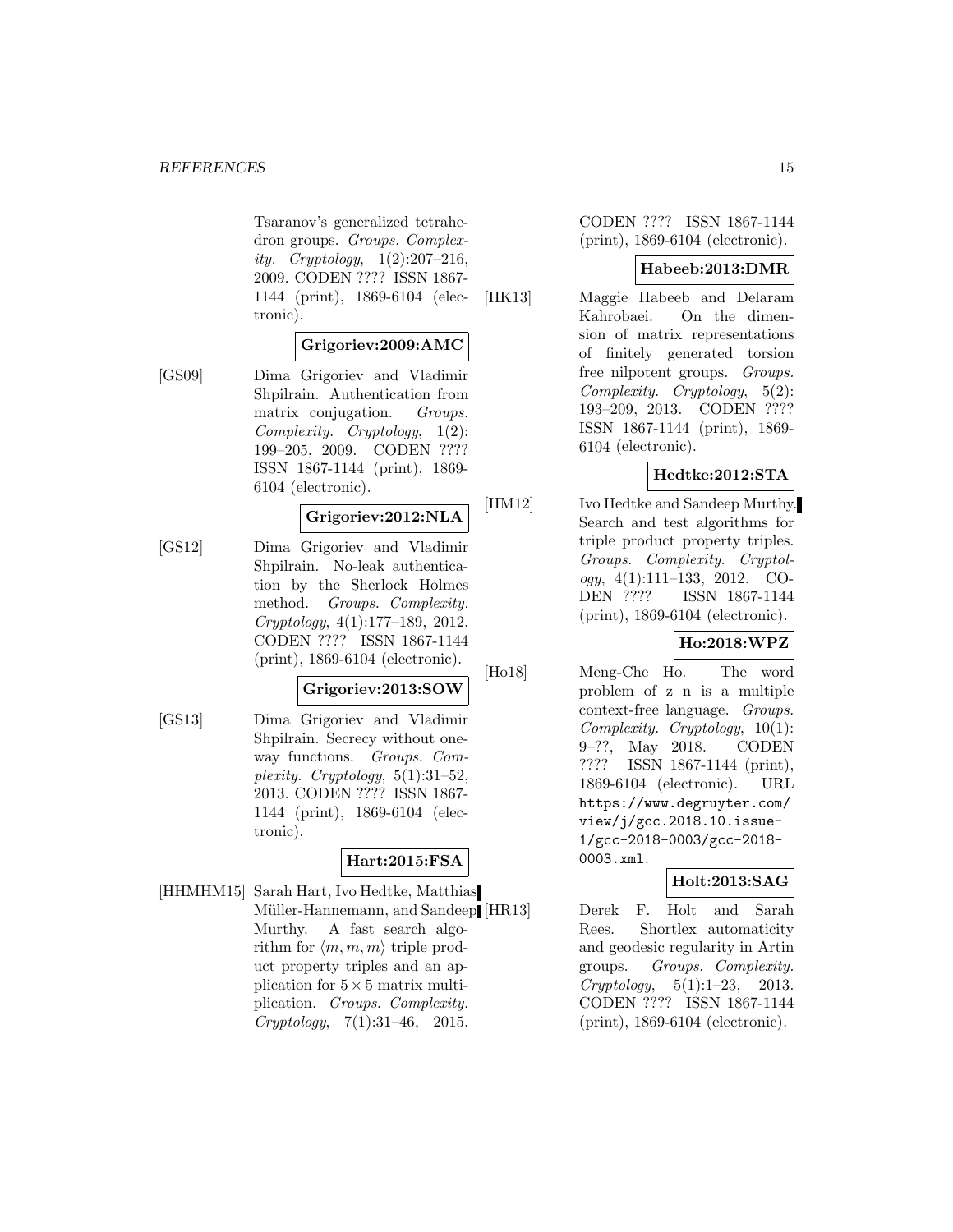Tsaranov's generalized tetrahedron groups. Groups. Complexity. Cryptology,  $1(2):207-216$ , 2009. CODEN ???? ISSN 1867- 1144 (print), 1869-6104 (electronic).

### **Grigoriev:2009:AMC**

[GS09] Dima Grigoriev and Vladimir Shpilrain. Authentication from matrix conjugation. Groups. Complexity. Cryptology, 1(2): 199–205, 2009. CODEN ???? ISSN 1867-1144 (print), 1869- 6104 (electronic).

### **Grigoriev:2012:NLA**

[GS12] Dima Grigoriev and Vladimir Shpilrain. No-leak authentication by the Sherlock Holmes method. Groups. Complexity. Cryptology, 4(1):177–189, 2012. CODEN ???? ISSN 1867-1144 (print), 1869-6104 (electronic).

#### **Grigoriev:2013:SOW**

[GS13] Dima Grigoriev and Vladimir Shpilrain. Secrecy without oneway functions. Groups. Complexity. Cryptology,  $5(1):31-52$ , 2013. CODEN ???? ISSN 1867- 1144 (print), 1869-6104 (electronic).

# **Hart:2015:FSA**

[HHMHM15] Sarah Hart, Ivo Hedtke, Matthias Müller-Hannemann, and Sandeep [HR13] Murthy. A fast search algorithm for  $\langle m, m, m \rangle$  triple product property triples and an application for  $5 \times 5$  matrix multiplication. Groups. Complexity.  $Cryptology, 7(1):31–46, 2015.$ 

CODEN ???? ISSN 1867-1144 (print), 1869-6104 (electronic).

#### **Habeeb:2013:DMR**

[HK13] Maggie Habeeb and Delaram Kahrobaei. On the dimension of matrix representations of finitely generated torsion free nilpotent groups. Groups. Complexity. Cryptology, 5(2): 193–209, 2013. CODEN ???? ISSN 1867-1144 (print), 1869- 6104 (electronic).

### **Hedtke:2012:STA**

[HM12] Ivo Hedtke and Sandeep Murthy. Search and test algorithms for triple product property triples. Groups. Complexity. Cryptol $oqy$ , 4(1):111–133, 2012. CO-DEN ???? ISSN 1867-1144 (print), 1869-6104 (electronic).

#### **Ho:2018:WPZ**

[Ho18] Meng-Che Ho. The word problem of z n is a multiple context-free language. Groups. Complexity. Cryptology, 10(1): 9–??, May 2018. CODEN ???? ISSN 1867-1144 (print), 1869-6104 (electronic). URL https://www.degruyter.com/ view/j/gcc.2018.10.issue-1/gcc-2018-0003/gcc-2018- 0003.xml.

### **Holt:2013:SAG**

Derek F. Holt and Sarah Rees. Shortlex automaticity and geodesic regularity in Artin groups. Groups. Complexity. Cryptology, 5(1):1–23, 2013. CODEN ???? ISSN 1867-1144 (print), 1869-6104 (electronic).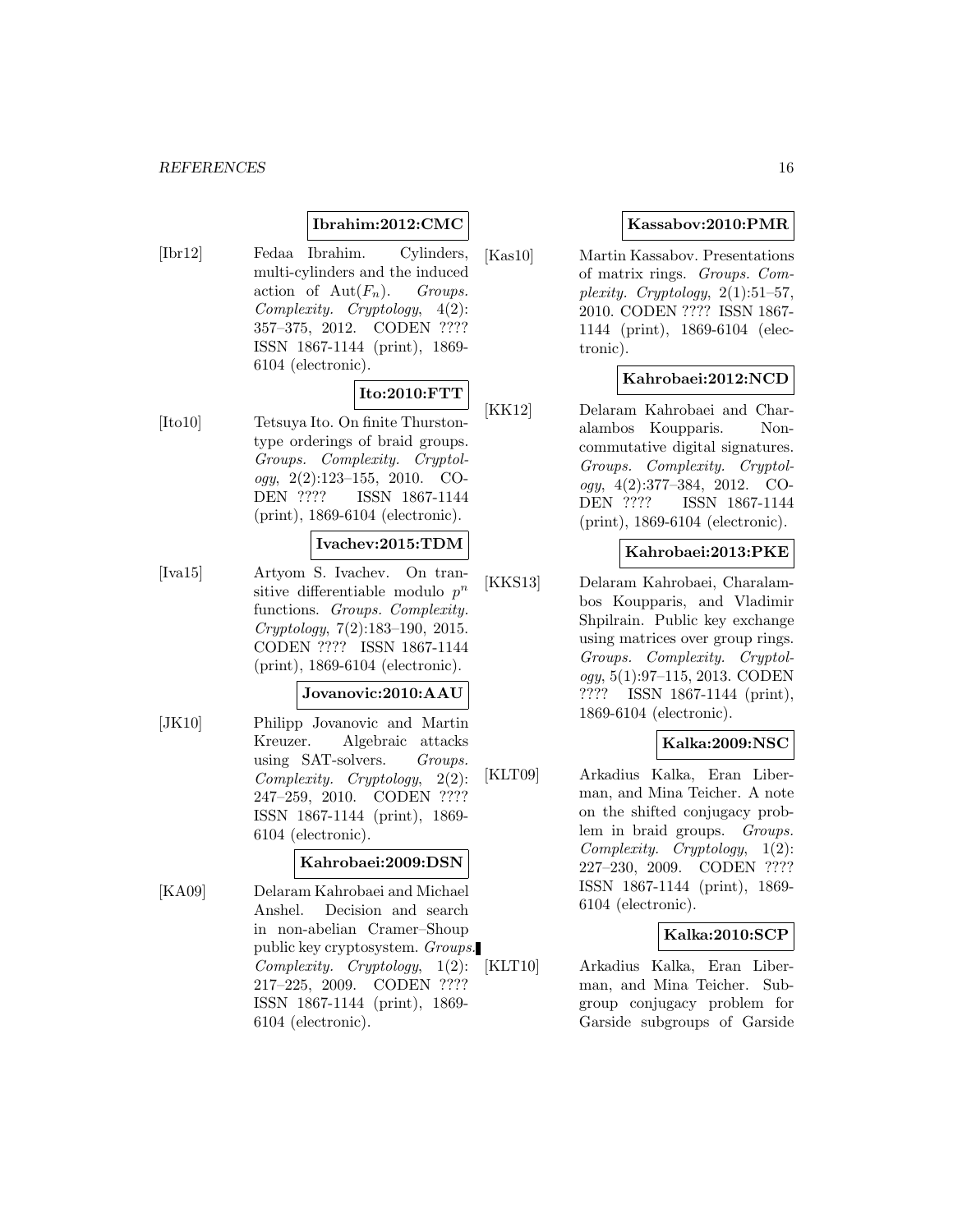### **Ibrahim:2012:CMC**

[Ibr12] Fedaa Ibrahim. Cylinders, multi-cylinders and the induced action of  $Aut(F_n)$ . Groups. Complexity. Cryptology, 4(2): 357–375, 2012. CODEN ???? ISSN 1867-1144 (print), 1869- 6104 (electronic).

# **Ito:2010:FTT**

[Ito10] Tetsuya Ito. On finite Thurstontype orderings of braid groups. Groups. Complexity. Cryptology, 2(2):123–155, 2010. CO-DEN ???? ISSN 1867-1144 (print), 1869-6104 (electronic).

### **Ivachev:2015:TDM**

[Iva15] Artyom S. Ivachev. On transitive differentiable modulo  $p^n$ functions. Groups. Complexity. Cryptology, 7(2):183–190, 2015. CODEN ???? ISSN 1867-1144 (print), 1869-6104 (electronic).

### **Jovanovic:2010:AAU**

[JK10] Philipp Jovanovic and Martin Kreuzer. Algebraic attacks using SAT-solvers. Groups. Complexity. Cryptology, 2(2): 247–259, 2010. CODEN ???? ISSN 1867-1144 (print), 1869- 6104 (electronic).

### **Kahrobaei:2009:DSN**

[KA09] Delaram Kahrobaei and Michael Anshel. Decision and search in non-abelian Cramer–Shoup public key cryptosystem. Groups. Complexity. Cryptology, 1(2): 217–225, 2009. CODEN ???? ISSN 1867-1144 (print), 1869- 6104 (electronic).

### **Kassabov:2010:PMR**

[Kas10] Martin Kassabov. Presentations of matrix rings. Groups. Complexity. Cryptology,  $2(1):51-57$ , 2010. CODEN ???? ISSN 1867- 1144 (print), 1869-6104 (electronic).

### **Kahrobaei:2012:NCD**

[KK12] Delaram Kahrobaei and Charalambos Koupparis. Noncommutative digital signatures. Groups. Complexity. Cryptology, 4(2):377–384, 2012. CO-DEN ???? ISSN 1867-1144 (print), 1869-6104 (electronic).

#### **Kahrobaei:2013:PKE**

[KKS13] Delaram Kahrobaei, Charalambos Koupparis, and Vladimir Shpilrain. Public key exchange using matrices over group rings. Groups. Complexity. Cryptology, 5(1):97–115, 2013. CODEN ???? ISSN 1867-1144 (print), 1869-6104 (electronic).

## **Kalka:2009:NSC**

[KLT09] Arkadius Kalka, Eran Liberman, and Mina Teicher. A note on the shifted conjugacy problem in braid groups. Groups. Complexity. Cryptology, 1(2): 227–230, 2009. CODEN ???? ISSN 1867-1144 (print), 1869- 6104 (electronic).

#### **Kalka:2010:SCP**

[KLT10] Arkadius Kalka, Eran Liberman, and Mina Teicher. Subgroup conjugacy problem for Garside subgroups of Garside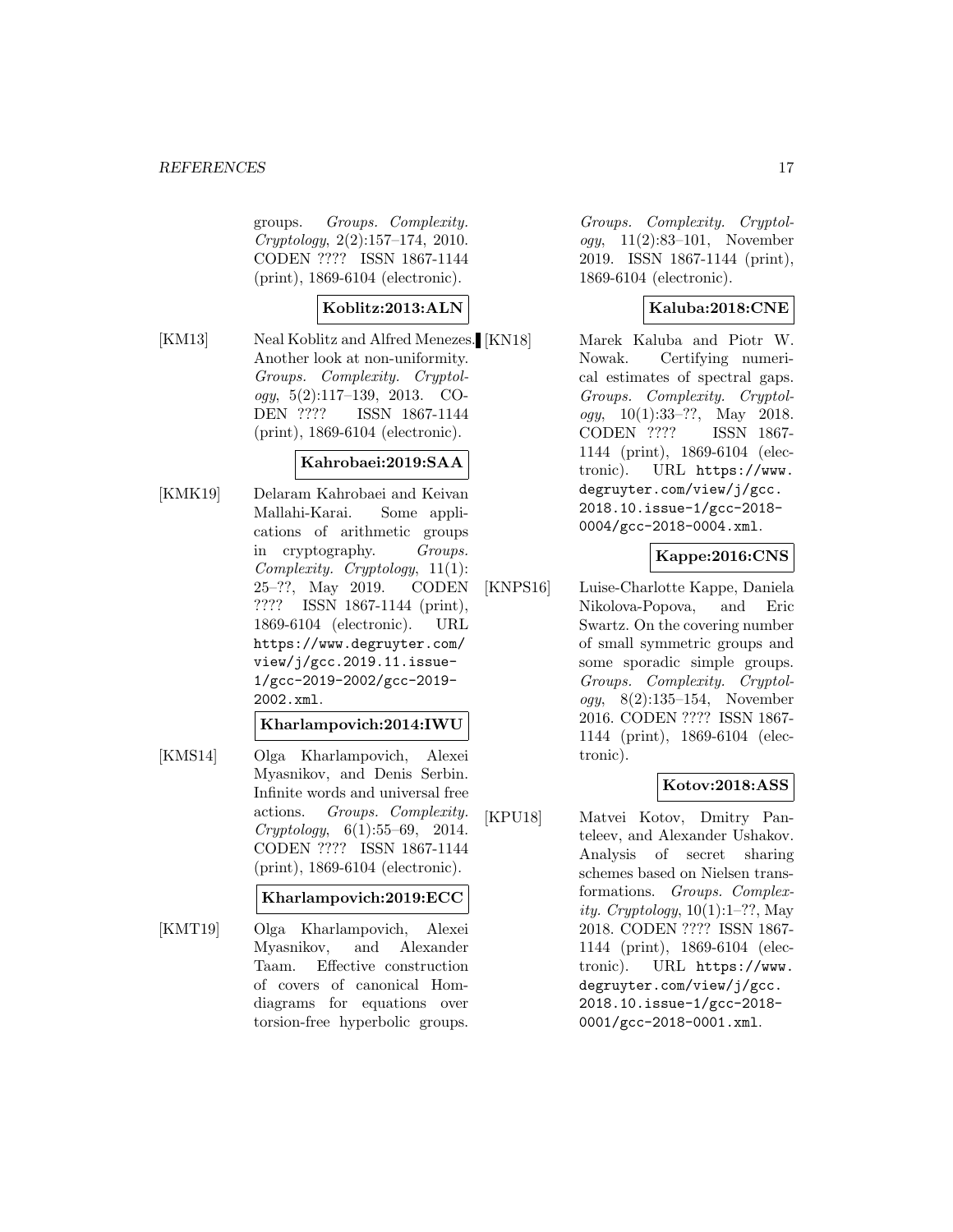groups. Groups. Complexity. Cryptology, 2(2):157–174, 2010. CODEN ???? ISSN 1867-1144 (print), 1869-6104 (electronic).

#### **Koblitz:2013:ALN**

[KM13] Neal Koblitz and Alfred Menezes. [KN18] Another look at non-uniformity. Groups. Complexity. Cryptol $oqy, 5(2):117-139, 2013. CO-$ DEN ???? ISSN 1867-1144 (print), 1869-6104 (electronic).

### **Kahrobaei:2019:SAA**

[KMK19] Delaram Kahrobaei and Keivan Mallahi-Karai. Some applications of arithmetic groups in cryptography. Groups. Complexity. Cryptology, 11(1): 25–??, May 2019. CODEN ???? ISSN 1867-1144 (print), 1869-6104 (electronic). URL https://www.degruyter.com/ view/j/gcc.2019.11.issue-1/gcc-2019-2002/gcc-2019- 2002.xml.

#### **Kharlampovich:2014:IWU**

[KMS14] Olga Kharlampovich, Alexei Myasnikov, and Denis Serbin. Infinite words and universal free actions. Groups. Complexity. Cryptology, 6(1):55–69, 2014. CODEN ???? ISSN 1867-1144 (print), 1869-6104 (electronic).

### **Kharlampovich:2019:ECC**

[KMT19] Olga Kharlampovich, Alexei Myasnikov, and Alexander Taam. Effective construction of covers of canonical Homdiagrams for equations over torsion-free hyperbolic groups.

Groups. Complexity. Cryptology, 11(2):83–101, November 2019. ISSN 1867-1144 (print), 1869-6104 (electronic).

### **Kaluba:2018:CNE**

Marek Kaluba and Piotr W. Nowak. Certifying numerical estimates of spectral gaps. Groups. Complexity. Cryptology,  $10(1):33-??$ , May 2018. CODEN ???? ISSN 1867- 1144 (print), 1869-6104 (electronic). URL https://www. degruyter.com/view/j/gcc. 2018.10.issue-1/gcc-2018- 0004/gcc-2018-0004.xml.

### **Kappe:2016:CNS**

[KNPS16] Luise-Charlotte Kappe, Daniela Nikolova-Popova, and Eric Swartz. On the covering number of small symmetric groups and some sporadic simple groups. Groups. Complexity. Cryptology, 8(2):135–154, November 2016. CODEN ???? ISSN 1867- 1144 (print), 1869-6104 (electronic).

#### **Kotov:2018:ASS**

[KPU18] Matvei Kotov, Dmitry Panteleev, and Alexander Ushakov. Analysis of secret sharing schemes based on Nielsen transformations. Groups. Complexity. Cryptology,  $10(1):1-??$ , May 2018. CODEN ???? ISSN 1867- 1144 (print), 1869-6104 (electronic). URL https://www. degruyter.com/view/j/gcc. 2018.10.issue-1/gcc-2018- 0001/gcc-2018-0001.xml.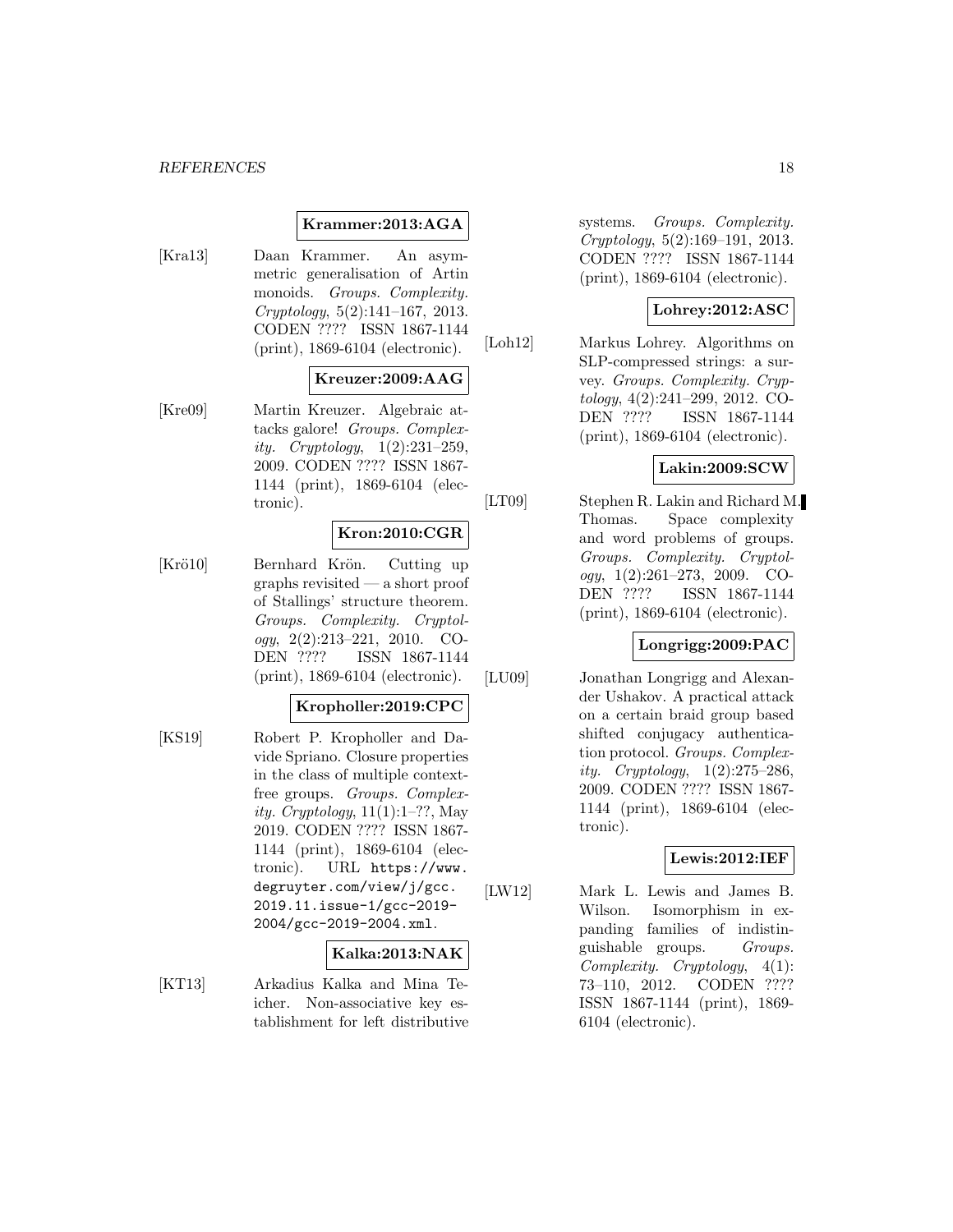#### *REFERENCES* 18

#### **Krammer:2013:AGA**

[Kra13] Daan Krammer. An asymmetric generalisation of Artin monoids. Groups. Complexity. Cryptology, 5(2):141–167, 2013. CODEN ???? ISSN 1867-1144 (print), 1869-6104 (electronic).

### **Kreuzer:2009:AAG**

[Kre09] Martin Kreuzer. Algebraic attacks galore! Groups. Complexity. Cryptology, 1(2):231–259, 2009. CODEN ???? ISSN 1867- 1144 (print), 1869-6104 (electronic).

### **Kron:2010:CGR**

[Krö10] Bernhard Krön. Cutting up graphs revisited — a short proof of Stallings' structure theorem. Groups. Complexity. Cryptol $oqy, 2(2):213-221, 2010. CO$ DEN ???? ISSN 1867-1144 (print), 1869-6104 (electronic).

**Kropholler:2019:CPC**

[KS19] Robert P. Kropholler and Davide Spriano. Closure properties in the class of multiple contextfree groups. Groups. Complexity. Cryptology,  $11(1):1-$ ??, May 2019. CODEN ???? ISSN 1867- 1144 (print), 1869-6104 (electronic). URL https://www. degruyter.com/view/j/gcc. 2019.11.issue-1/gcc-2019- 2004/gcc-2019-2004.xml.

#### **Kalka:2013:NAK**

[KT13] Arkadius Kalka and Mina Teicher. Non-associative key establishment for left distributive systems. Groups. Complexity. Cryptology, 5(2):169–191, 2013. CODEN ???? ISSN 1867-1144 (print), 1869-6104 (electronic).

### **Lohrey:2012:ASC**

[Loh12] Markus Lohrey. Algorithms on SLP-compressed strings: a survey. Groups. Complexity. Cryptology, 4(2):241–299, 2012. CO-DEN ???? ISSN 1867-1144 (print), 1869-6104 (electronic).

#### **Lakin:2009:SCW**

[LT09] Stephen R. Lakin and Richard M. Thomas. Space complexity and word problems of groups. Groups. Complexity. Cryptology,  $1(2):261-273$ ,  $2009$ . CO-DEN ???? ISSN 1867-1144 (print), 1869-6104 (electronic).

#### **Longrigg:2009:PAC**

[LU09] Jonathan Longrigg and Alexander Ushakov. A practical attack on a certain braid group based shifted conjugacy authentication protocol. Groups. Complexity. Cryptology, 1(2):275–286, 2009. CODEN ???? ISSN 1867- 1144 (print), 1869-6104 (electronic).

#### **Lewis:2012:IEF**

[LW12] Mark L. Lewis and James B. Wilson. Isomorphism in expanding families of indistinguishable groups. Groups. Complexity. Cryptology, 4(1): 73–110, 2012. CODEN ???? ISSN 1867-1144 (print), 1869- 6104 (electronic).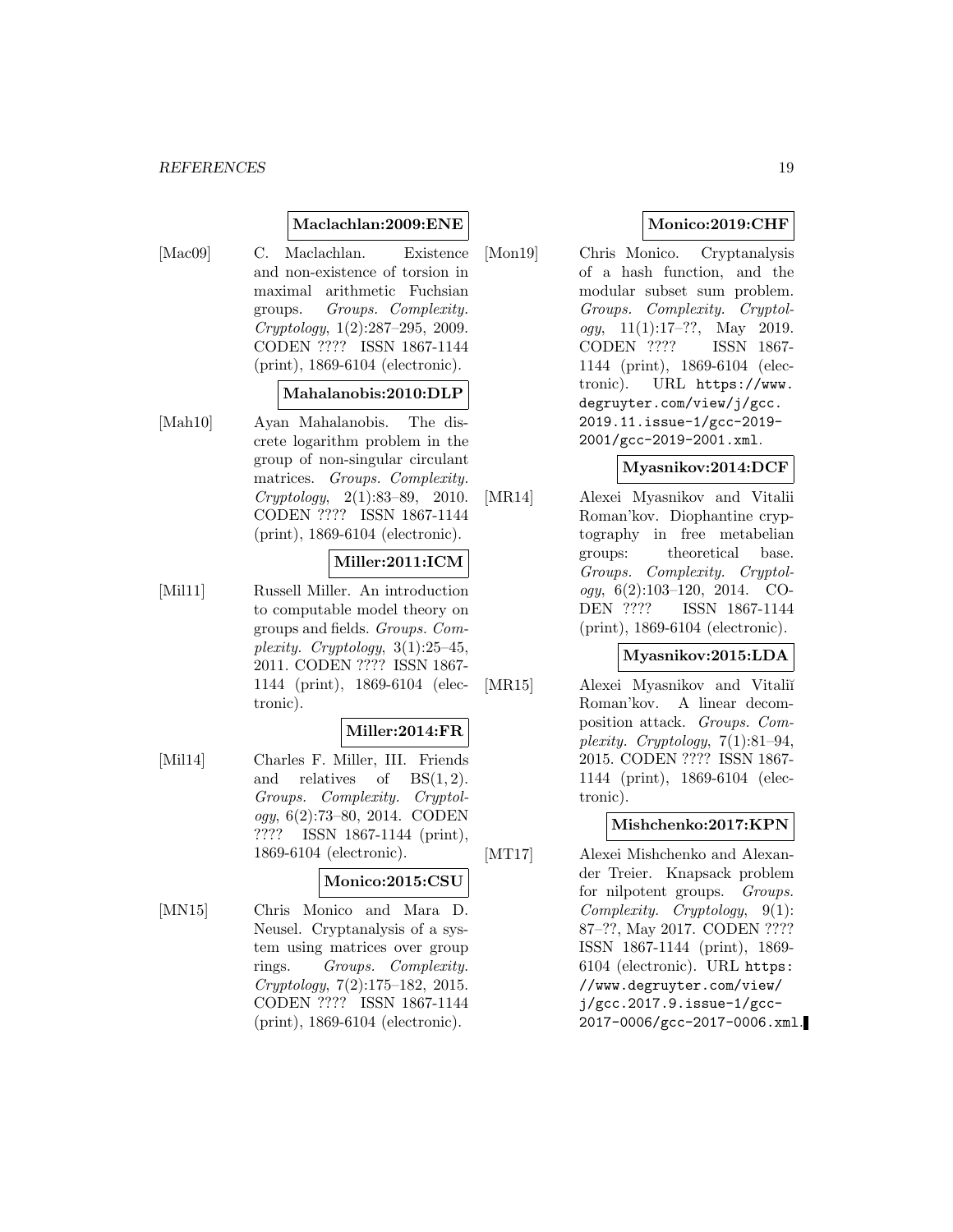#### **Maclachlan:2009:ENE**

- 
- [Mac09] C. Maclachlan. Existence and non-existence of torsion in maximal arithmetic Fuchsian groups. Groups. Complexity. Cryptology, 1(2):287–295, 2009. CODEN ???? ISSN 1867-1144 (print), 1869-6104 (electronic).

### **Mahalanobis:2010:DLP**

[Mah10] Ayan Mahalanobis. The discrete logarithm problem in the group of non-singular circulant matrices. Groups. Complexity. Cryptology, 2(1):83–89, 2010. CODEN ???? ISSN 1867-1144 (print), 1869-6104 (electronic).

### **Miller:2011:ICM**

[Mil11] Russell Miller. An introduction to computable model theory on groups and fields. Groups. Complexity. Cryptology,  $3(1):25-45$ , 2011. CODEN ???? ISSN 1867- 1144 (print), 1869-6104 (electronic).

#### **Miller:2014:FR**

[Mil14] Charles F. Miller, III. Friends and relatives of  $BS(1, 2)$ . Groups. Complexity. Cryptology, 6(2):73–80, 2014. CODEN ???? ISSN 1867-1144 (print), 1869-6104 (electronic).

### **Monico:2015:CSU**

[MN15] Chris Monico and Mara D. Neusel. Cryptanalysis of a system using matrices over group rings. Groups. Complexity. Cryptology, 7(2):175–182, 2015. CODEN ???? ISSN 1867-1144 (print), 1869-6104 (electronic).

### **Monico:2019:CHF**

[Mon19] Chris Monico. Cryptanalysis of a hash function, and the modular subset sum problem. Groups. Complexity. Cryptology,  $11(1):17-??$ , May 2019. CODEN ???? ISSN 1867- 1144 (print), 1869-6104 (electronic). URL https://www. degruyter.com/view/j/gcc. 2019.11.issue-1/gcc-2019- 2001/gcc-2019-2001.xml.

### **Myasnikov:2014:DCF**

[MR14] Alexei Myasnikov and Vitalii Roman'kov. Diophantine cryptography in free metabelian groups: theoretical base. Groups. Complexity. Cryptology, 6(2):103–120, 2014. CO-DEN ???? ISSN 1867-1144 (print), 1869-6104 (electronic).

#### **Myasnikov:2015:LDA**

[MR15] Alexei Myasnikov and Vitaliı̆ Roman'kov. A linear decomposition attack. Groups. Complexity. Cryptology, 7(1):81–94, 2015. CODEN ???? ISSN 1867- 1144 (print), 1869-6104 (electronic).

#### **Mishchenko:2017:KPN**

[MT17] Alexei Mishchenko and Alexander Treier. Knapsack problem for nilpotent groups. Groups. Complexity. Cryptology, 9(1): 87–??, May 2017. CODEN ???? ISSN 1867-1144 (print), 1869- 6104 (electronic). URL https: //www.degruyter.com/view/ j/gcc.2017.9.issue-1/gcc-2017-0006/gcc-2017-0006.xml.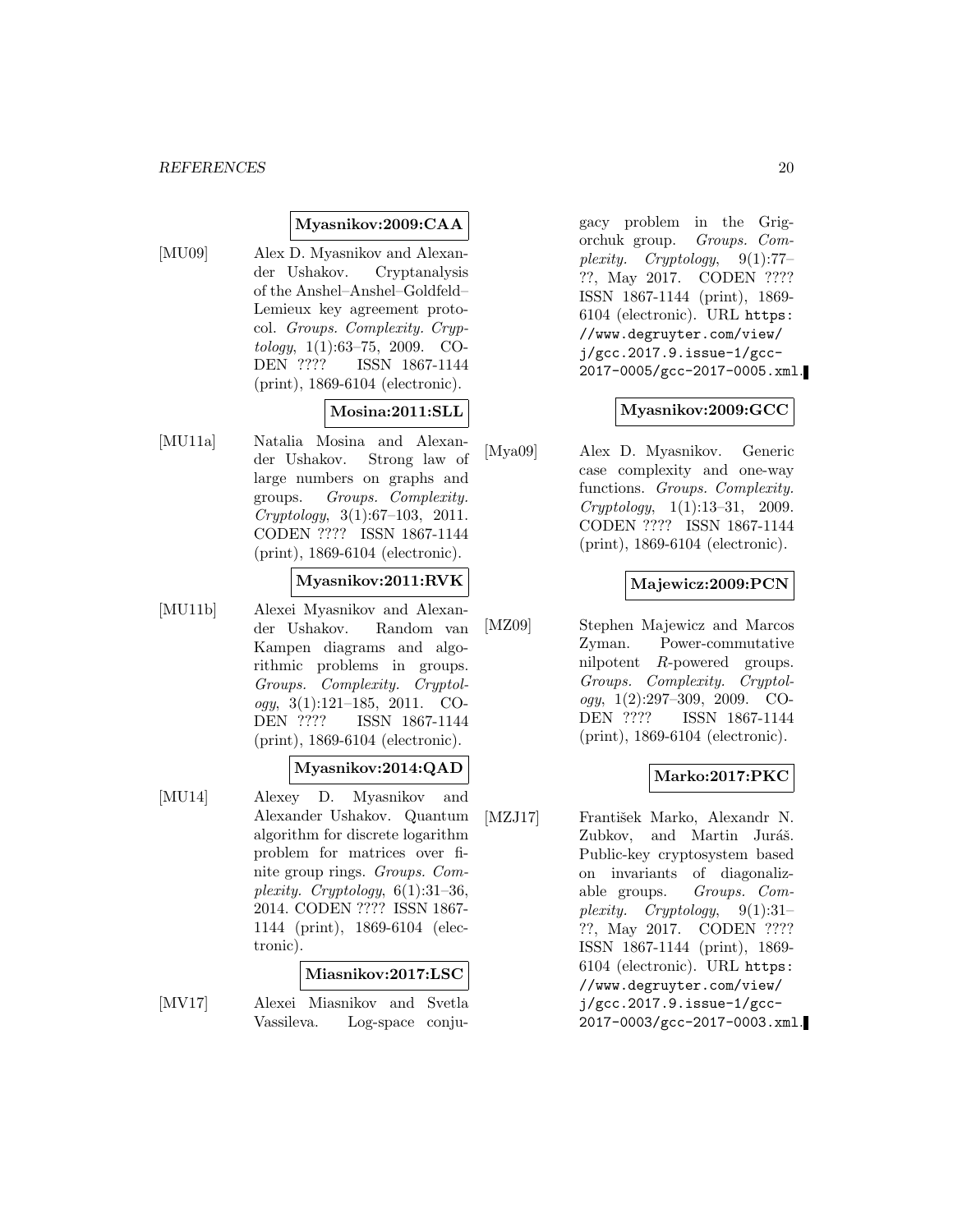### **Myasnikov:2009:CAA**

[MU09] Alex D. Myasnikov and Alexander Ushakov. Cryptanalysis of the Anshel–Anshel–Goldfeld– Lemieux key agreement protocol. Groups. Complexity. Cryptology, 1(1):63–75, 2009. CO-DEN ???? ISSN 1867-1144 (print), 1869-6104 (electronic).

### **Mosina:2011:SLL**

[MU11a] Natalia Mosina and Alexander Ushakov. Strong law of large numbers on graphs and groups. Groups. Complexity. Cryptology, 3(1):67–103, 2011. CODEN ???? ISSN 1867-1144 (print), 1869-6104 (electronic).

### **Myasnikov:2011:RVK**

[MU11b] Alexei Myasnikov and Alexander Ushakov. Random van Kampen diagrams and algorithmic problems in groups. Groups. Complexity. Cryptol $oqy, 3(1):121-185, 2011. CO-$ DEN ???? ISSN 1867-1144 (print), 1869-6104 (electronic).

### **Myasnikov:2014:QAD**

[MU14] Alexey D. Myasnikov and Alexander Ushakov. Quantum algorithm for discrete logarithm problem for matrices over finite group rings. Groups. Complexity. Cryptology,  $6(1):31-36$ , 2014. CODEN ???? ISSN 1867- 1144 (print), 1869-6104 (electronic).

#### **Miasnikov:2017:LSC**

[MV17] Alexei Miasnikov and Svetla Vassileva. Log-space conjugacy problem in the Grigorchuk group. Groups. Complexity. Cryptology, 9(1):77– ??, May 2017. CODEN ???? ISSN 1867-1144 (print), 1869- 6104 (electronic). URL https: //www.degruyter.com/view/ j/gcc.2017.9.issue-1/gcc-2017-0005/gcc-2017-0005.xml.

### **Myasnikov:2009:GCC**

[Mya09] Alex D. Myasnikov. Generic case complexity and one-way functions. Groups. Complexity. Cryptology, 1(1):13–31, 2009. CODEN ???? ISSN 1867-1144 (print), 1869-6104 (electronic).

#### **Majewicz:2009:PCN**

[MZ09] Stephen Majewicz and Marcos Zyman. Power-commutative nilpotent R-powered groups. Groups. Complexity. Cryptology, 1(2):297–309, 2009. CO-DEN ???? ISSN 1867-1144 (print), 1869-6104 (electronic).

#### **Marko:2017:PKC**

[MZJ17] František Marko, Alexandr N. Zubkov, and Martin Juráš. Public-key cryptosystem based on invariants of diagonalizable groups. Groups. Complexity. Cryptology, 9(1):31– ??, May 2017. CODEN ???? ISSN 1867-1144 (print), 1869- 6104 (electronic). URL https: //www.degruyter.com/view/ j/gcc.2017.9.issue-1/gcc-2017-0003/gcc-2017-0003.xml.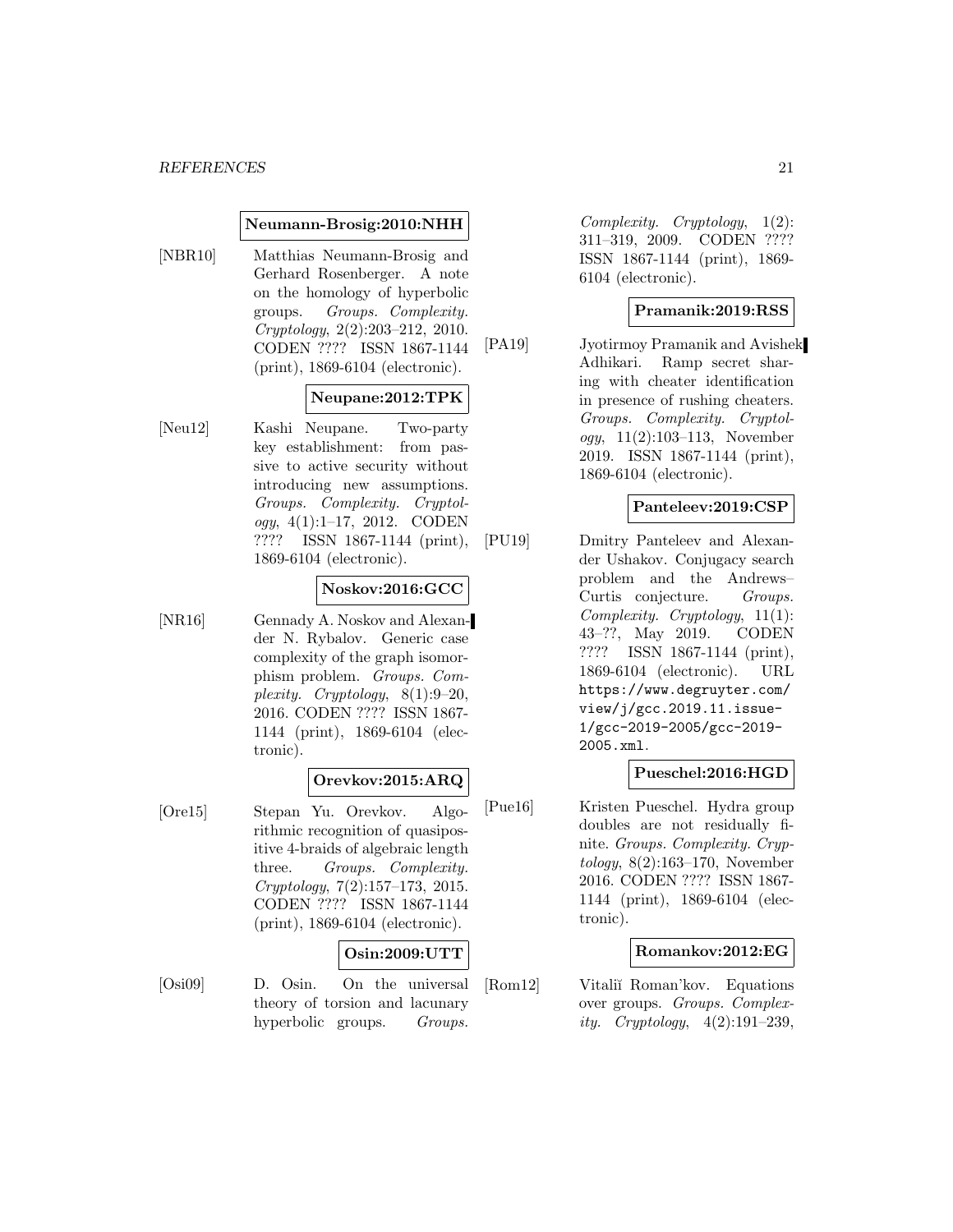#### **Neumann-Brosig:2010:NHH**

[NBR10] Matthias Neumann-Brosig and Gerhard Rosenberger. A note on the homology of hyperbolic groups. Groups. Complexity. Cryptology, 2(2):203–212, 2010. CODEN ???? ISSN 1867-1144 (print), 1869-6104 (electronic).

### **Neupane:2012:TPK**

[Neu12] Kashi Neupane. Two-party key establishment: from passive to active security without introducing new assumptions. Groups. Complexity. Cryptology, 4(1):1–17, 2012. CODEN ???? ISSN 1867-1144 (print), 1869-6104 (electronic).

### **Noskov:2016:GCC**

[NR16] Gennady A. Noskov and Alexander N. Rybalov. Generic case complexity of the graph isomorphism problem. Groups. Complexity. Cryptology, 8(1):9–20, 2016. CODEN ???? ISSN 1867- 1144 (print), 1869-6104 (electronic).

#### **Orevkov:2015:ARQ**

[Ore15] Stepan Yu. Orevkov. Algorithmic recognition of quasipositive 4-braids of algebraic length three. Groups. Complexity. Cryptology, 7(2):157–173, 2015. CODEN ???? ISSN 1867-1144 (print), 1869-6104 (electronic).

#### **Osin:2009:UTT**

[Osi09] D. Osin. On the universal theory of torsion and lacunary hyperbolic groups. Groups.

Complexity. Cryptology, 1(2): 311–319, 2009. CODEN ???? ISSN 1867-1144 (print), 1869- 6104 (electronic).

#### **Pramanik:2019:RSS**

[PA19] Jyotirmoy Pramanik and Avishek Adhikari. Ramp secret sharing with cheater identification in presence of rushing cheaters. Groups. Complexity. Cryptology, 11(2):103–113, November 2019. ISSN 1867-1144 (print), 1869-6104 (electronic).

#### **Panteleev:2019:CSP**

[PU19] Dmitry Panteleev and Alexander Ushakov. Conjugacy search problem and the Andrews– Curtis conjecture. Groups. Complexity. Cryptology, 11(1): 43–??, May 2019. CODEN ???? ISSN 1867-1144 (print), 1869-6104 (electronic). URL https://www.degruyter.com/ view/j/gcc.2019.11.issue-1/gcc-2019-2005/gcc-2019- 2005.xml.

#### **Pueschel:2016:HGD**

[Pue16] Kristen Pueschel. Hydra group doubles are not residually finite. Groups. Complexity. Cryp $tology, 8(2):163-170, November$ 2016. CODEN ???? ISSN 1867- 1144 (print), 1869-6104 (electronic).

#### **Romankov:2012:EG**

[Rom12] Vitali˘ı Roman'kov. Equations over groups. Groups. Complexity. Cryptology,  $4(2):191-239$ ,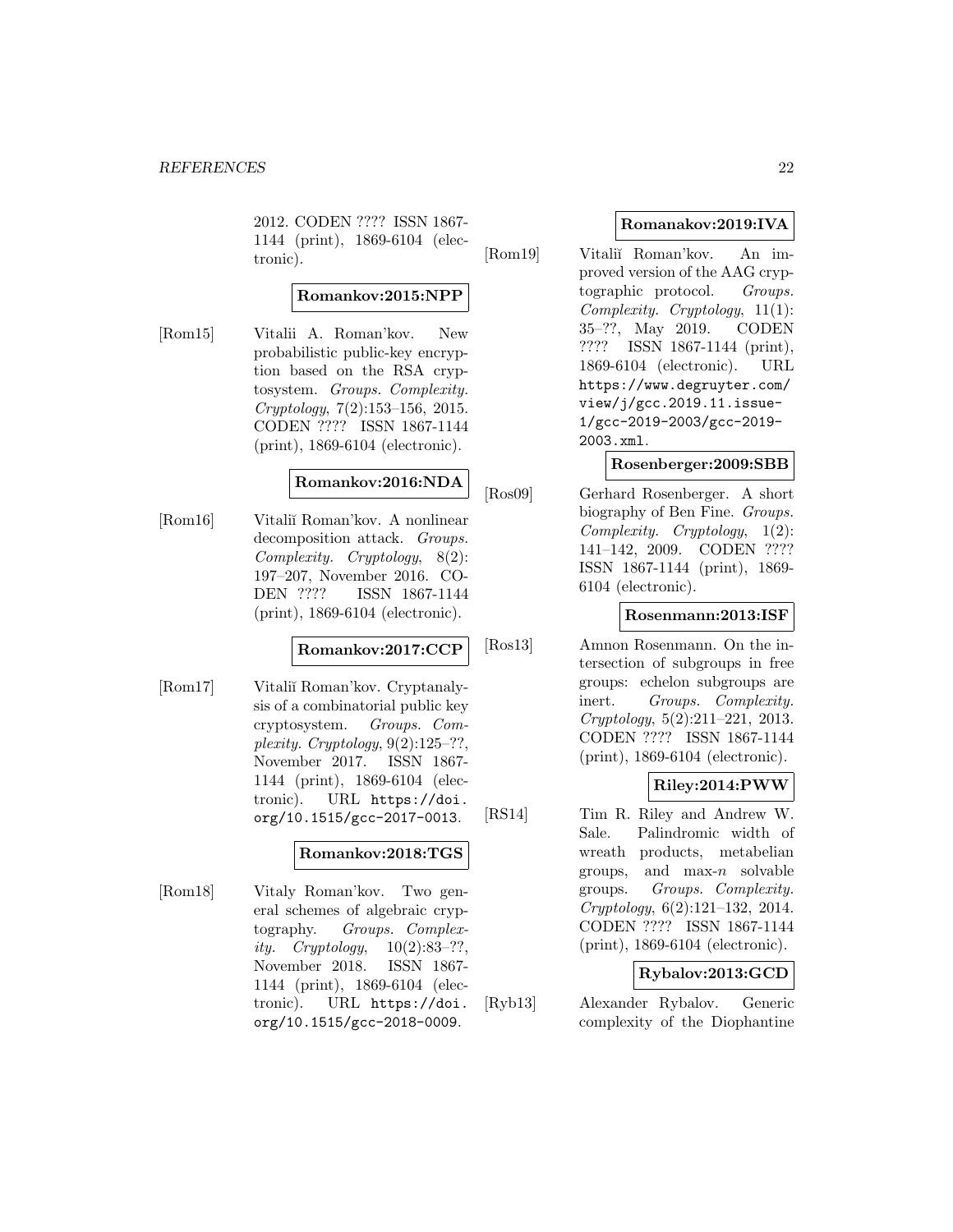2012. CODEN ???? ISSN 1867- 1144 (print), 1869-6104 (electronic).

# **Romankov:2015:NPP**

[Rom15] Vitalii A. Roman'kov. New probabilistic public-key encryption based on the RSA cryptosystem. Groups. Complexity. Cryptology, 7(2):153–156, 2015. CODEN ???? ISSN 1867-1144 (print), 1869-6104 (electronic).

### **Romankov:2016:NDA**

[Rom16] Vitali˘ı Roman'kov. A nonlinear decomposition attack. Groups. Complexity. Cryptology, 8(2): 197–207, November 2016. CO-DEN ???? ISSN 1867-1144 (print), 1869-6104 (electronic).

### **Romankov:2017:CCP**

[Rom17] Vitali˘ı Roman'kov. Cryptanalysis of a combinatorial public key cryptosystem. Groups. Complexity. Cryptology,  $9(2):125-??$ , November 2017. ISSN 1867- 1144 (print), 1869-6104 (electronic). URL https://doi. org/10.1515/gcc-2017-0013.

#### **Romankov:2018:TGS**

[Rom18] Vitaly Roman'kov. Two general schemes of algebraic cryptography. Groups. Complexity.  $Cryptology, 10(2):83-??,$ November 2018. ISSN 1867- 1144 (print), 1869-6104 (electronic). URL https://doi. org/10.1515/gcc-2018-0009.

### **Romanakov:2019:IVA**

[Rom19] Vitali˘ı Roman'kov. An improved version of the AAG cryptographic protocol. Groups. Complexity. Cryptology, 11(1): 35–??, May 2019. CODEN ???? ISSN 1867-1144 (print), 1869-6104 (electronic). URL https://www.degruyter.com/ view/j/gcc.2019.11.issue-1/gcc-2019-2003/gcc-2019- 2003.xml.

### **Rosenberger:2009:SBB**

[Ros09] Gerhard Rosenberger. A short biography of Ben Fine. Groups. Complexity. Cryptology, 1(2): 141–142, 2009. CODEN ???? ISSN 1867-1144 (print), 1869- 6104 (electronic).

### **Rosenmann:2013:ISF**

[Ros13] Amnon Rosenmann. On the intersection of subgroups in free groups: echelon subgroups are inert. Groups. Complexity. Cryptology, 5(2):211–221, 2013. CODEN ???? ISSN 1867-1144 (print), 1869-6104 (electronic).

# **Riley:2014:PWW**

[RS14] Tim R. Riley and Andrew W. Sale. Palindromic width of wreath products, metabelian groups, and  $\max_{n}$  solvable groups. Groups. Complexity. Cryptology, 6(2):121–132, 2014. CODEN ???? ISSN 1867-1144 (print), 1869-6104 (electronic).

### **Rybalov:2013:GCD**

[Ryb13] Alexander Rybalov. Generic complexity of the Diophantine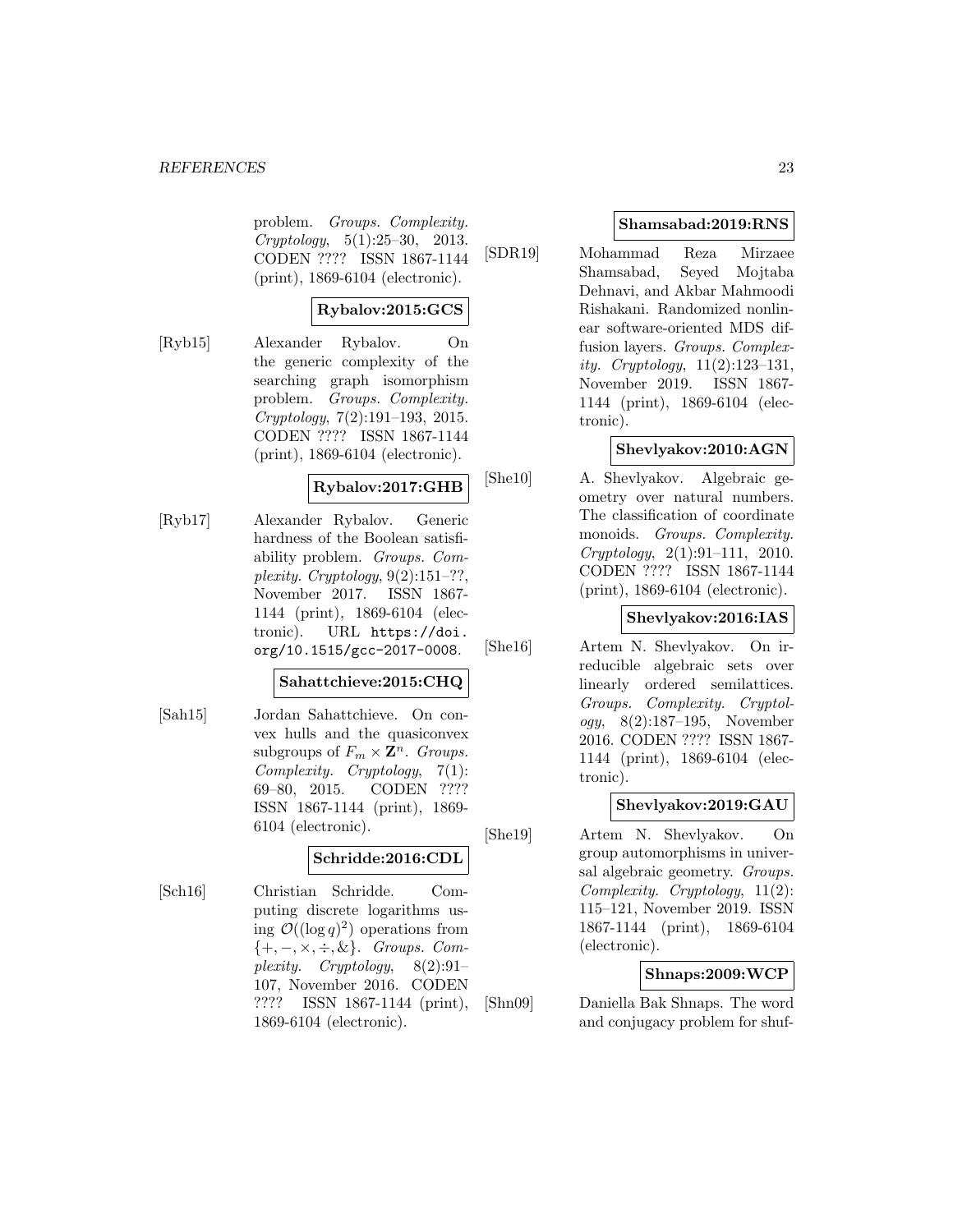problem. Groups. Complexity. Cryptology, 5(1):25–30, 2013. CODEN ???? ISSN 1867-1144 (print), 1869-6104 (electronic).

### **Rybalov:2015:GCS**

[Ryb15] Alexander Rybalov. On the generic complexity of the searching graph isomorphism problem. Groups. Complexity. Cryptology, 7(2):191–193, 2015. CODEN ???? ISSN 1867-1144 (print), 1869-6104 (electronic).

### **Rybalov:2017:GHB**

[Ryb17] Alexander Rybalov. Generic hardness of the Boolean satisfiability problem. Groups. Complexity. Cryptology,  $9(2):151-??$ , November 2017. ISSN 1867- 1144 (print), 1869-6104 (electronic). URL https://doi. org/10.1515/gcc-2017-0008.

#### **Sahattchieve:2015:CHQ**

[Sah15] Jordan Sahattchieve. On convex hulls and the quasiconvex subgroups of  $F_m \times \mathbf{Z}^n$ . Groups. Complexity. Cryptology, 7(1): 69–80, 2015. CODEN ???? ISSN 1867-1144 (print), 1869- 6104 (electronic).

### **Schridde:2016:CDL**

[Sch16] Christian Schridde. Computing discrete logarithms using  $\mathcal{O}((\log q)^2)$  operations from  $\{+, -, \times, \div, \&\}.$  Groups. Complexity. Cryptology, 8(2):91– 107, November 2016. CODEN ???? ISSN 1867-1144 (print), 1869-6104 (electronic).

### **Shamsabad:2019:RNS**

[SDR19] Mohammad Reza Mirzaee Shamsabad, Seyed Mojtaba Dehnavi, and Akbar Mahmoodi Rishakani. Randomized nonlinear software-oriented MDS diffusion layers. Groups. Complexity. Cryptology, 11(2):123–131, November 2019. ISSN 1867- 1144 (print), 1869-6104 (electronic).

### **Shevlyakov:2010:AGN**

[She10] A. Shevlyakov. Algebraic geometry over natural numbers. The classification of coordinate monoids. Groups. Complexity. Cryptology, 2(1):91–111, 2010. CODEN ???? ISSN 1867-1144 (print), 1869-6104 (electronic).

### **Shevlyakov:2016:IAS**

[She16] Artem N. Shevlyakov. On irreducible algebraic sets over linearly ordered semilattices. Groups. Complexity. Cryptology, 8(2):187–195, November 2016. CODEN ???? ISSN 1867- 1144 (print), 1869-6104 (electronic).

### **Shevlyakov:2019:GAU**

[She19] Artem N. Shevlyakov. On group automorphisms in universal algebraic geometry. Groups. Complexity. Cryptology, 11(2): 115–121, November 2019. ISSN 1867-1144 (print), 1869-6104 (electronic).

### **Shnaps:2009:WCP**

[Shn09] Daniella Bak Shnaps. The word and conjugacy problem for shuf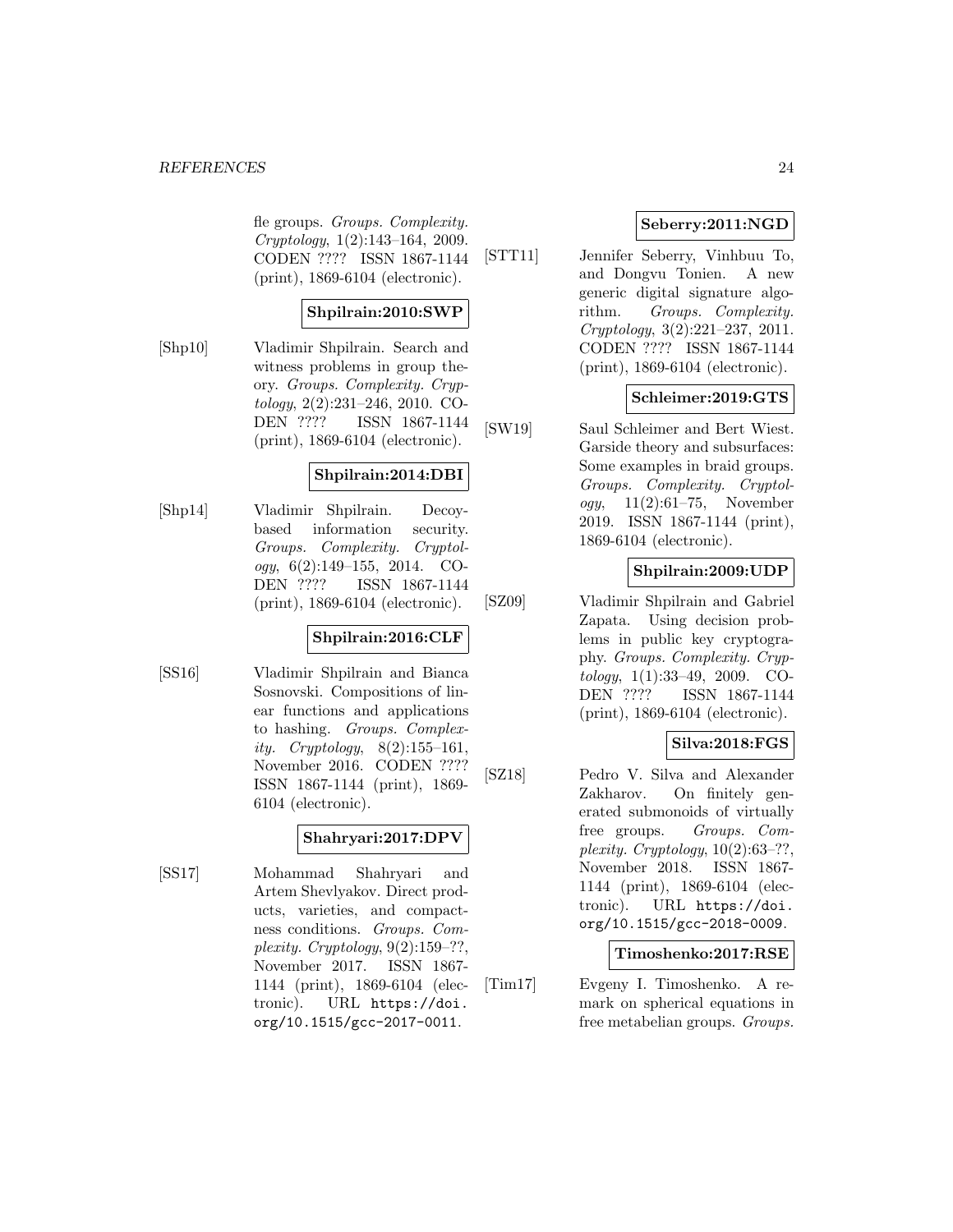fle groups. Groups. Complexity. Cryptology, 1(2):143–164, 2009. CODEN ???? ISSN 1867-1144 (print), 1869-6104 (electronic).

### **Shpilrain:2010:SWP**

[Shp10] Vladimir Shpilrain. Search and witness problems in group theory. Groups. Complexity. Cryptology, 2(2):231–246, 2010. CO-DEN ???? ISSN 1867-1144 (print), 1869-6104 (electronic).

### **Shpilrain:2014:DBI**

[Shp14] Vladimir Shpilrain. Decoybased information security. Groups. Complexity. Cryptology,  $6(2):149-155$ ,  $2014$ . CO-DEN ???? ISSN 1867-1144 (print), 1869-6104 (electronic).

### **Shpilrain:2016:CLF**

[SS16] Vladimir Shpilrain and Bianca Sosnovski. Compositions of linear functions and applications to hashing. Groups. Complexity. Cryptology,  $8(2):155-161$ , November 2016. CODEN ???? ISSN 1867-1144 (print), 1869- 6104 (electronic).

### **Shahryari:2017:DPV**

[SS17] Mohammad Shahryari and Artem Shevlyakov. Direct products, varieties, and compactness conditions. Groups. Complexity. Cryptology,  $9(2):159-??$ , November 2017. ISSN 1867- 1144 (print), 1869-6104 (electronic). URL https://doi. org/10.1515/gcc-2017-0011.

### **Seberry:2011:NGD**

[STT11] Jennifer Seberry, Vinhbuu To, and Dongvu Tonien. A new generic digital signature algorithm. Groups. Complexity. Cryptology, 3(2):221–237, 2011. CODEN ???? ISSN 1867-1144 (print), 1869-6104 (electronic).

### **Schleimer:2019:GTS**

[SW19] Saul Schleimer and Bert Wiest. Garside theory and subsurfaces: Some examples in braid groups. Groups. Complexity. Cryptol*ogy*,  $11(2):61-75$ , November 2019. ISSN 1867-1144 (print), 1869-6104 (electronic).

# **Shpilrain:2009:UDP**

[SZ09] Vladimir Shpilrain and Gabriel Zapata. Using decision problems in public key cryptography. Groups. Complexity. Cryptology, 1(1):33–49, 2009. CO-DEN ???? ISSN 1867-1144 (print), 1869-6104 (electronic).

# **Silva:2018:FGS**

[SZ18] Pedro V. Silva and Alexander Zakharov. On finitely generated submonoids of virtually free groups. Groups. Complexity. Cryptology,  $10(2):63-??$ . November 2018. ISSN 1867- 1144 (print), 1869-6104 (electronic). URL https://doi. org/10.1515/gcc-2018-0009.

#### **Timoshenko:2017:RSE**

[Tim17] Evgeny I. Timoshenko. A remark on spherical equations in free metabelian groups. Groups.